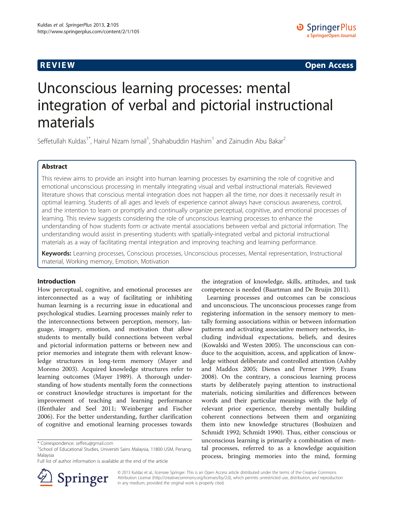**REVIEW CONSTRUCTION CONSTRUCTION CONSTRUCTS** 

# Unconscious learning processes: mental integration of verbal and pictorial instructional materials

Seffetullah Kuldas<sup>1\*</sup>, Hairul Nizam Ismail<sup>1</sup>, Shahabuddin Hashim<sup>1</sup> and Zainudin Abu Bakar<sup>2</sup>

# Abstract

This review aims to provide an insight into human learning processes by examining the role of cognitive and emotional unconscious processing in mentally integrating visual and verbal instructional materials. Reviewed literature shows that conscious mental integration does not happen all the time, nor does it necessarily result in optimal learning. Students of all ages and levels of experience cannot always have conscious awareness, control, and the intention to learn or promptly and continually organize perceptual, cognitive, and emotional processes of learning. This review suggests considering the role of unconscious learning processes to enhance the understanding of how students form or activate mental associations between verbal and pictorial information. The understanding would assist in presenting students with spatially-integrated verbal and pictorial instructional materials as a way of facilitating mental integration and improving teaching and learning performance.

Keywords: Learning processes, Conscious processes, Unconscious processes, Mental representation, Instructional material, Working memory, Emotion, Motivation

# Introduction

How perceptual, cognitive, and emotional processes are interconnected as a way of facilitating or inhibiting human learning is a recurring issue in educational and psychological studies. Learning processes mainly refer to the interconnections between perception, memory, language, imagery, emotion, and motivation that allow students to mentally build connections between verbal and pictorial information patterns or between new and prior memories and integrate them with relevant knowledge structures in long-term memory (Mayer and Moreno [2003\)](#page-11-0). Acquired knowledge structures refer to learning outcomes (Mayer [1989\)](#page-11-0). A thorough understanding of how students mentally form the connections or construct knowledge structures is important for the improvement of teaching and learning performance (Ifenthaler and Seel [2011](#page-11-0); Weinberger and Fischer [2006](#page-13-0)). For the better understanding, further clarification of cognitive and emotional learning processes towards

Full list of author information is available at the end of the article



the integration of knowledge, skills, attitudes, and task competence is needed (Baartman and De Bruijn [2011](#page-9-0)).

Learning processes and outcomes can be conscious and unconscious. The unconscious processes range from registering information in the sensory memory to mentally forming associations within or between information patterns and activating associative memory networks, including individual expectations, beliefs, and desires (Kowalski and Westen [2005](#page-11-0)). The unconscious can conduce to the acquisition, access, and application of knowledge without deliberate and controlled attention (Ashby and Maddox [2005;](#page-9-0) Dienes and Perner [1999](#page-10-0); Evans [2008](#page-10-0)). On the contrary, a conscious learning process starts by deliberately paying attention to instructional materials, noticing similarities and differences between words and their particular meanings with the help of relevant prior experience, thereby mentally building coherent connections between them and organizing them into new knowledge structures (Boshuizen and Schmidt [1992;](#page-10-0) Schmidt [1990](#page-12-0)). Thus, either conscious or unconscious learning is primarily a combination of mental processes, referred to as a knowledge acquisition process, bringing memories into the mind, forming

© 2013 Kuldas et al.; licensee Springer. This is an Open Access article distributed under the terms of the Creative Commons Attribution License [\(http://creativecommons.org/licenses/by/2.0\)](http://creativecommons.org/licenses/by/2.0), which permits unrestricted use, distribution, and reproduction in any medium, provided the original work is properly cited.

<sup>\*</sup> Correspondence: [seffetu@gmail.com](mailto:seffetu@gmail.com) <sup>1</sup>

<sup>&</sup>lt;sup>1</sup>School of Educational Studies, Universiti Sains Malaysia, 11800 USM, Penang, Malaysia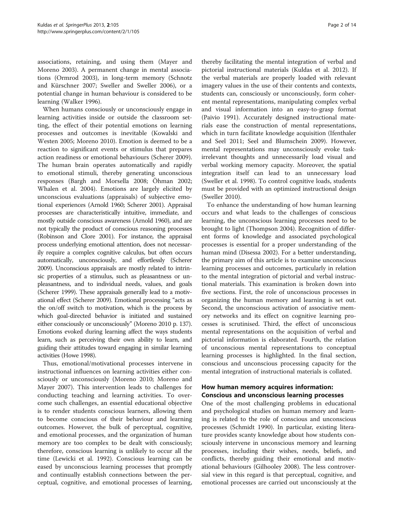associations, retaining, and using them (Mayer and Moreno [2003](#page-11-0)). A permanent change in mental associations (Ormrod [2003](#page-11-0)), in long-term memory (Schnotz and Kürschner [2007;](#page-12-0) Sweller and Sweller [2006](#page-12-0)), or a potential change in human behaviour is considered to be learning (Walker [1996](#page-13-0)).

When humans consciously or unconsciously engage in learning activities inside or outside the classroom setting, the effect of their potential emotions on learning processes and outcomes is inevitable (Kowalski and Westen [2005](#page-11-0); Moreno [2010](#page-11-0)). Emotion is deemed to be a reaction to significant events or stimulus that prepares action readiness or emotional behaviours (Scherer [2009](#page-12-0)). The human brain operates automatically and rapidly to emotional stimuli, thereby generating unconscious responses (Bargh and Morsella [2008;](#page-9-0) Öhman [2002](#page-11-0); Whalen et al. [2004](#page-13-0)). Emotions are largely elicited by unconscious evaluations (appraisals) of subjective emotional experiences (Arnold [1960;](#page-9-0) Scherer [2001\)](#page-12-0). Appraisal processes are characteristically intuitive, immediate, and mostly outside conscious awareness (Arnold [1960](#page-9-0)), and are not typically the product of conscious reasoning processes (Robinson and Clore [2001\)](#page-12-0). For instance, the appraisal process underlying emotional attention, does not necessarily require a complex cognitive calculus, but often occurs automatically, unconsciously, and effortlessly (Scherer [2009\)](#page-12-0). Unconscious appraisals are mostly related to intrinsic properties of a stimulus, such as pleasantness or unpleasantness, and to individual needs, values, and goals (Scherer [1999\)](#page-12-0). These appraisals generally lead to a motivational effect (Scherer [2009\)](#page-12-0). Emotional processing "acts as the on/off switch to motivation, which is the process by which goal-directed behavior is initiated and sustained either consciously or unconsciously" (Moreno [2010](#page-11-0) p. 137). Emotions evoked during learning affect the ways students learn, such as perceiving their own ability to learn, and guiding their attitudes toward engaging in similar learning activities (Howe [1998\)](#page-11-0).

Thus, emotional/motivational processes intervene in instructional influences on learning activities either consciously or unconsciously (Moreno [2010;](#page-11-0) Moreno and Mayer [2007\)](#page-11-0). This intervention leads to challenges for conducting teaching and learning activities. To overcome such challenges, an essential educational objective is to render students conscious learners, allowing them to become conscious of their behaviour and learning outcomes. However, the bulk of perceptual, cognitive, and emotional processes, and the organization of human memory are too complex to be dealt with consciously; therefore, conscious learning is unlikely to occur all the time (Lewicki et al. [1992\)](#page-11-0). Conscious learning can be eased by unconscious learning processes that promptly and continually establish connections between the perceptual, cognitive, and emotional processes of learning, thereby facilitating the mental integration of verbal and pictorial instructional materials (Kuldas et al. [2012](#page-11-0)). If the verbal materials are properly loaded with relevant imagery values in the use of their contents and contexts, students can, consciously or unconsciously, form coherent mental representations, manipulating complex verbal and visual information into an easy-to-grasp format (Paivio [1991\)](#page-11-0). Accurately designed instructional materials ease the construction of mental representations, which in turn facilitate knowledge acquisition (Ifenthaler and Seel [2011;](#page-11-0) Seel and Blumschein [2009\)](#page-12-0). However, mental representations may unconsciously evoke taskirrelevant thoughts and unnecessarily load visual and verbal working memory capacity. Moreover, the spatial integration itself can lead to an unnecessary load (Sweller et al. [1998\)](#page-12-0). To control cognitive loads, students must be provided with an optimized instructional design (Sweller [2010\)](#page-12-0).

To enhance the understanding of how human learning occurs and what leads to the challenges of conscious learning, the unconscious learning processes need to be brought to light (Thompson [2004\)](#page-13-0). Recognition of different forms of knowledge and associated psychological processes is essential for a proper understanding of the human mind (Disessa [2002](#page-10-0)). For a better understanding, the primary aim of this article is to examine unconscious learning processes and outcomes, particularly in relation to the mental integration of pictorial and verbal instructional materials. This examination is broken down into five sections. First, the role of unconscious processes in organizing the human memory and learning is set out. Second, the unconscious activation of associative memory networks and its effect on cognitive learning processes is scrutinised. Third, the effect of unconscious mental representations on the acquisition of verbal and pictorial information is elaborated. Fourth, the relation of unconscious mental representations to conceptual learning processes is highlighted. In the final section, conscious and unconscious processing capacity for the mental integration of instructional materials is collated.

# How human memory acquires information: Conscious and unconscious learning processes

One of the most challenging problems in educational and psychological studies on human memory and learning is related to the role of conscious and unconscious processes (Schmidt [1990](#page-12-0)). In particular, existing literature provides scanty knowledge about how students consciously intervene in unconscious memory and learning processes, including their wishes, needs, beliefs, and conflicts, thereby guiding their emotional and motivational behaviours (Gilhooley [2008](#page-10-0)). The less controversial view in this regard is that perceptual, cognitive, and emotional processes are carried out unconsciously at the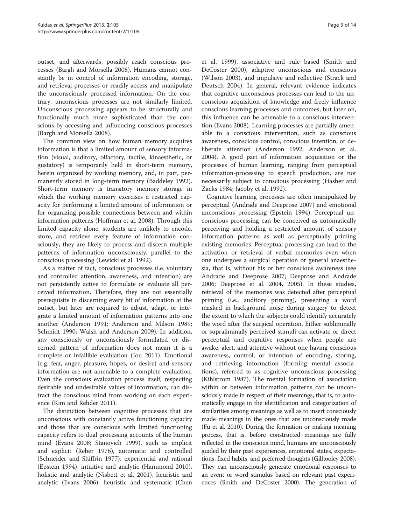outset, and afterwards, possibly reach conscious processes (Bargh and Morsella [2008](#page-9-0)). Humans cannot constantly be in control of information encoding, storage, and retrieval processes or readily access and manipulate the unconsciously processed information. On the contrary, unconscious processes are not similarly limited. Unconscious processing appears to be structurally and functionally much more sophisticated than the conscious by accessing and influencing conscious processes (Bargh and Morsella [2008\)](#page-9-0).

The common view on how human memory acquires information is that a limited amount of sensory information (visual, auditory, olfactory, tactile, kinaesthetic, or gustatory) is temporarily held in short-term memory, herein organized by working memory, and, in part, permanently stored in long-term memory (Baddeley [1992](#page-9-0)). Short-term memory is transitory memory storage in which the working memory exercises a restricted capacity for performing a limited amount of information or for organizing possible connections between and within information patterns (Hoffman et al. [2008\)](#page-11-0). Through this limited capacity alone, students are unlikely to encode, store, and retrieve every feature of information consciously; they are likely to process and discern multiple patterns of information unconsciously, parallel to the conscious processing (Lewicki et al. [1992](#page-11-0)).

As a matter of fact, conscious processes (i.e. voluntary and controlled attention, awareness, and intention) are not persistently active to formulate or evaluate all perceived information. Therefore, they are not essentially prerequisite in discerning every bit of information at the outset, but later are required to adjust, adapt, or integrate a limited amount of information patterns into one another (Anderson [1991;](#page-9-0) Anderson and Milson [1989](#page-9-0); Schmidt [1990](#page-12-0); Walsh and Anderson [2009\)](#page-13-0). In addition, any consciously or unconsciously formulated or discerned pattern of information does not mean it is a complete or infallible evaluation (Jou [2011\)](#page-11-0). Emotional (e.g. fear, anger, pleasure, hopes, or desire) and sensory information are not amenable to a complete evaluation. Even the conscious evaluation process itself, respecting desirable and undesirable values of information, can distract the conscious mind from working on each experience (Kim and Rehder [2011](#page-11-0)).

The distinction between cognitive processes that are unconscious with constantly active functioning capacity and those that are conscious with limited functioning capacity refers to dual processing accounts of the human mind (Evans [2008;](#page-10-0) Stanovich [1999](#page-12-0)), such as implicit and explicit (Reber [1976\)](#page-12-0), automatic and controlled (Schneider and Shiffrin [1977](#page-12-0)), experiential and rational (Epstein [1994](#page-10-0)), intuitive and analytic (Hammond [2010](#page-10-0)), holistic and analytic (Nisbett et al. [2001\)](#page-11-0), heuristic and analytic (Evans [2006](#page-10-0)), heuristic and systematic (Chen

et al. [1999](#page-10-0)), associative and rule based (Smith and DeCoster [2000\)](#page-12-0), adaptive unconscious and conscious (Wilson [2003\)](#page-13-0), and impulsive and reflective (Strack and Deutsch [2004](#page-12-0)). In general, relevant evidence indicates that cognitive unconscious processes can lead to the unconscious acquisition of knowledge and freely influence conscious learning processes and outcomes, but later on, this influence can be amenable to a conscious intervention (Evans [2008\)](#page-10-0). Learning processes are partially amenable to a conscious intervention, such as conscious awareness, conscious control, conscious intention, or deliberate attention (Anderson [1992](#page-9-0); Anderson et al. [2004](#page-9-0)). A good part of information acquisition or the processes of human learning, ranging from perceptual information-processing to speech production, are not necessarily subject to conscious processing (Hasher and Zacks [1984](#page-10-0); Jacoby et al. [1992\)](#page-11-0).

Cognitive learning processes are often manipulated by perceptual (Andrade and Deeprose [2007\)](#page-9-0) and emotional unconscious processing (Epstein [1994\)](#page-10-0). Perceptual unconscious processing can be conceived as automatically perceiving and holding a restricted amount of sensory information patterns as well as perceptually priming existing memories. Perceptual processing can lead to the activation or retrieval of verbal memories even when one undergoes a surgical operation or general anaesthesia, that is, without his or her conscious awareness (see Andrade and Deeprose [2007](#page-9-0); Deeprose and Andrade [2006](#page-10-0); Deeprose et al. [2004](#page-10-0), [2005](#page-10-0)). In these studies, retrieval of the memories was detected after perceptual priming (i.e., auditory priming), presenting a word masked in background noise during surgery to detect the extent to which the subjects could identify accurately the word after the surgical operation. Either subliminally or supraliminally perceived stimuli can activate or direct perceptual and cognitive responses when people are awake, alert, and attentive without one having conscious awareness, control, or intention of encoding, storing, and retrieving information (forming mental associations), referred to as cognitive unconscious processing (Kihlstrom [1987\)](#page-11-0). The mental formation of association within or between information patterns can be unconsciously made in respect of their meanings, that is, to automatically engage in the identification and categorization of similarities among meanings as well as to insert consciously made meanings in the ones that are unconsciously made (Fu et al. [2010\)](#page-10-0). During the formation or making meaning process, that is, before constructed meanings are fully reflected in the conscious mind, humans are unconsciously guided by their past experiences, emotional states, expectations, fixed habits, and preferred thoughts (Gilhooley [2008](#page-10-0)). They can unconsciously generate emotional responses to an event or word stimulus based on relevant past experiences (Smith and DeCoster [2000](#page-12-0)). The generation of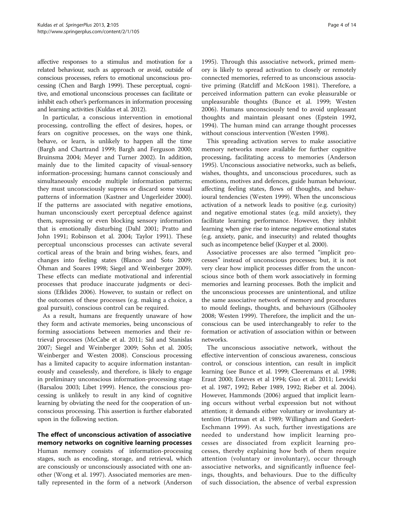affective responses to a stimulus and motivation for a related behaviour, such as approach or avoid, outside of conscious processes, refers to emotional unconscious processing (Chen and Bargh [1999\)](#page-10-0). These perceptual, cognitive, and emotional unconscious processes can facilitate or inhibit each other's performances in information processing and learning activities (Kuldas et al. [2012\)](#page-11-0).

In particular, a conscious intervention in emotional processing, controlling the effect of desires, hopes, or fears on cognitive processes, on the ways one think, behave, or learn, is unlikely to happen all the time (Bargh and Chartrand [1999](#page-9-0); Bargh and Ferguson [2000](#page-9-0); Bruinsma [2004](#page-10-0); Meyer and Turner [2002](#page-11-0)). In addition, mainly due to the limited capacity of visual-sensory information-processing; humans cannot consciously and simultaneously encode multiple information patterns; they must unconsciously supress or discard some visual patterns of information (Kastner and Ungerleider [2000](#page-11-0)). If the patterns are associated with negative emotions, human unconsciously exert perceptual defence against them, supressing or even blocking sensory information that is emotionally disturbing (Dahl [2001;](#page-10-0) Pratto and John [1991](#page-12-0); Robinson et al. [2004;](#page-12-0) Taylor [1991\)](#page-12-0). These perceptual unconscious processes can activate several cortical areas of the brain and bring wishes, fears, and changes into feeling states (Blanco and Soto [2009](#page-9-0); Öhman and Soares [1998;](#page-11-0) Siegel and Weinberger [2009](#page-12-0)). These effects can mediate motivational and inferential processes that produce inaccurate judgments or decisions (Efklides [2006](#page-10-0)). However, to sustain or reflect on the outcomes of these processes (e.g. making a choice, a goal pursuit), conscious control can be required.

As a result, humans are frequently unaware of how they form and activate memories, being unconscious of forming associations between memories and their retrieval processes (McCabe et al. [2011;](#page-11-0) Sid and Stanislas [2007](#page-12-0); Siegel and Weinberger [2009](#page-12-0); Sohn et al. [2005](#page-12-0); Weinberger and Westen [2008](#page-13-0)). Conscious processing has a limited capacity to acquire information instantaneously and ceaselessly, and therefore, is likely to engage in preliminary unconscious information-processing stage (Barsalou [2003;](#page-9-0) Libet [1999\)](#page-11-0). Hence, the conscious processing is unlikely to result in any kind of cognitive learning by obviating the need for the cooperation of unconscious processing. This assertion is further elaborated upon in the following section.

# The effect of unconscious activation of associative memory networks on cognitive learning processes

Human memory consists of information-processing stages, such as encoding, storage, and retrieval, which are consciously or unconsciously associated with one another (Wong et al. [1997\)](#page-13-0). Associated memories are mentally represented in the form of a network (Anderson

[1995](#page-9-0)). Through this associative network, primed memory is likely to spread activation to closely or remotely connected memories, referred to as unconscious associative priming (Ratcliff and McKoon [1981](#page-12-0)). Therefore, a perceived information pattern can evoke pleasurable or unpleasurable thoughts (Bunce et al. [1999](#page-10-0); Westen [2006](#page-13-0)). Humans unconsciously tend to avoid unpleasant thoughts and maintain pleasant ones (Epstein [1992](#page-10-0), [1994](#page-10-0)). The human mind can arrange thought processes without conscious intervention (Westen [1998\)](#page-13-0).

This spreading activation serves to make associative memory networks more available for further cognitive processing, facilitating access to memories (Anderson [1995](#page-9-0)). Unconscious associative networks, such as beliefs, wishes, thoughts, and unconscious procedures, such as emotions, motives and defences, guide human behaviour, affecting feeling states, flows of thoughts, and behavioural tendencies (Westen [1999](#page-13-0)). When the unconscious activation of a network leads to positive (e.g. curiosity) and negative emotional states (e.g. mild anxiety), they facilitate learning performance. However, they inhibit learning when give rise to intense negative emotional states (e.g. anxiety, panic, and insecurity) and related thoughts such as incompetence belief (Kuyper et al. [2000\)](#page-11-0).

Associative processes are also termed "implicit processes" instead of unconscious processes; but, it is not very clear how implicit processes differ from the unconscious since both of them work associatively in forming memories and learning processes. Both the implicit and the unconscious processes are unintentional, and utilize the same associative network of memory and procedures to mould feelings, thoughts, and behaviours (Gilhooley [2008](#page-10-0); Westen [1999](#page-13-0)). Therefore, the implicit and the unconscious can be used interchangeably to refer to the formation or activation of association within or between networks.

The unconscious associative network, without the effective intervention of conscious awareness, conscious control, or conscious intention, can result in implicit learning (see Bunce et al. [1999;](#page-10-0) Cleeremans et al. [1998](#page-10-0); Eraut [2000](#page-10-0); Esteves et al [1994;](#page-10-0) Guo et al. [2011;](#page-10-0) Lewicki et al. [1987, 1992](#page-11-0); Reber [1989, 1992](#page-12-0); Rieber et al. [2004](#page-12-0)). However, Hammonds [\(2006](#page-10-0)) argued that implicit learning occurs without verbal expression but not without attention; it demands either voluntary or involuntary attention (Hartman et al. [1989](#page-10-0); Willingham and Goedert-Eschmann [1999](#page-13-0)). As such, further investigations are needed to understand how implicit learning processes are dissociated from explicit learning processes, thereby explaining how both of them require attention (voluntary or involuntary), occur through associative networks, and significantly influence feelings, thoughts, and behaviours. Due to the difficulty of such dissociation, the absence of verbal expression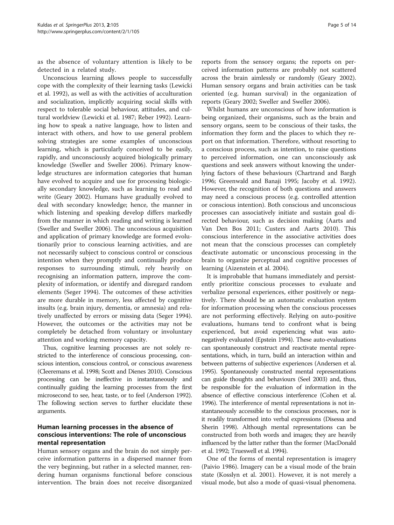as the absence of voluntary attention is likely to be detected in a related study.

Unconscious learning allows people to successfully cope with the complexity of their learning tasks (Lewicki et al. [1992](#page-11-0)), as well as with the activities of acculturation and socialization, implicitly acquiring social skills with respect to tolerable social behaviour, attitudes, and cultural worldview (Lewicki et al. [1987;](#page-11-0) Reber [1992](#page-12-0)). Learning how to speak a native language, how to listen and interact with others, and how to use general problem solving strategies are some examples of unconscious learning, which is particularly conceived to be easily, rapidly, and unconsciously acquired biologically primary knowledge (Sweller and Sweller [2006\)](#page-12-0). Primary knowledge structures are information categories that human have evolved to acquire and use for processing biologically secondary knowledge, such as learning to read and write (Geary [2002](#page-10-0)). Humans have gradually evolved to deal with secondary knowledge; hence, the manner in which listening and speaking develop differs markedly from the manner in which reading and writing is learned (Sweller and Sweller [2006\)](#page-12-0). The unconscious acquisition and application of primary knowledge are formed evolutionarily prior to conscious learning activities, and are not necessarily subject to conscious control or conscious intention when they promptly and continually produce responses to surrounding stimuli, rely heavily on recognising an information pattern, improve the complexity of information, or identify and disregard random elements (Seger [1994\)](#page-12-0). The outcomes of these activities are more durable in memory, less affected by cognitive insults (e.g. brain injury, dementia, or amnesia) and relatively unaffected by errors or missing data (Seger [1994](#page-12-0)). However, the outcomes or the activities may not be completely be detached from voluntary or involuntary attention and working memory capacity.

Thus, cognitive learning processes are not solely restricted to the interference of conscious processing, conscious intention, conscious control, or conscious awareness (Cleeremans et al. [1998;](#page-10-0) Scott and Dienes [2010](#page-12-0)). Conscious processing can be ineffective in instantaneously and continually guiding the learning processes from the first microsecond to see, hear, taste, or to feel (Anderson [1992](#page-9-0)). The following section serves to further elucidate these arguments.

# Human learning processes in the absence of conscious interventions: The role of unconscious mental representation

Human sensory organs and the brain do not simply perceive information patterns in a dispersed manner from the very beginning, but rather in a selected manner, rendering human organisms functional before conscious intervention. The brain does not receive disorganized

reports from the sensory organs; the reports on perceived information patterns are probably not scattered across the brain aimlessly or randomly (Geary [2002](#page-10-0)). Human sensory organs and brain activities can be task oriented (e.g. human survival) in the organization of reports (Geary [2002;](#page-10-0) Sweller and Sweller [2006](#page-12-0)).

Whilst humans are unconscious of how information is being organized, their organisms, such as the brain and sensory organs, seem to be conscious of their tasks, the information they form and the places to which they report on that information. Therefore, without resorting to a conscious process, such as intention, to raise questions to perceived information, one can unconsciously ask questions and seek answers without knowing the underlying factors of these behaviours (Chartrand and Bargh [1996](#page-10-0); Greenwald and Banaji [1995](#page-10-0); Jacoby et al. [1992](#page-11-0)). However, the recognition of both questions and answers may need a conscious process (e.g. controlled attention or conscious intention). Both conscious and unconscious processes can associatively initiate and sustain goal directed behaviour, such as decision making (Aarts and Van Den Bos [2011](#page-9-0); Custers and Aarts [2010](#page-10-0)). This conscious interference in the associative activities does not mean that the conscious processes can completely deactivate automatic or unconscious processing in the brain to organize perceptual and cognitive processes of learning (Aizenstein et al. [2004](#page-9-0)).

It is improbable that humans immediately and persistently prioritize conscious processes to evaluate and verbalize personal experiences, either positively or negatively. There should be an automatic evaluation system for information processing when the conscious processes are not performing effectively. Relying on auto-positive evaluations, humans tend to confront what is being experienced, but avoid experiencing what was autonegatively evaluated (Epstein [1994\)](#page-10-0). These auto-evaluations can spontaneously construct and reactivate mental representations, which, in turn, build an interaction within and between patterns of subjective experiences (Andersen et al. [1995\)](#page-9-0). Spontaneously constructed mental representations can guide thoughts and behaviours (Seel [2003\)](#page-12-0) and, thus, be responsible for the evaluation of information in the absence of effective conscious interference (Cohen et al. [1996\)](#page-10-0). The interference of mental representations is not instantaneously accessible to the conscious processes, nor is it readily transformed into verbal expressions (Disessa and Sherin [1998](#page-10-0)). Although mental representations can be constructed from both words and images; they are heavily influenced by the latter rather than the former (MacDonald et al. [1992;](#page-11-0) Trueswell et al. [1994](#page-13-0)).

One of the forms of mental representation is imagery (Paivio [1986](#page-11-0)). Imagery can be a visual mode of the brain state (Kosslyn et al. [2001\)](#page-11-0). However, it is not merely a visual mode, but also a mode of quasi-visual phenomena.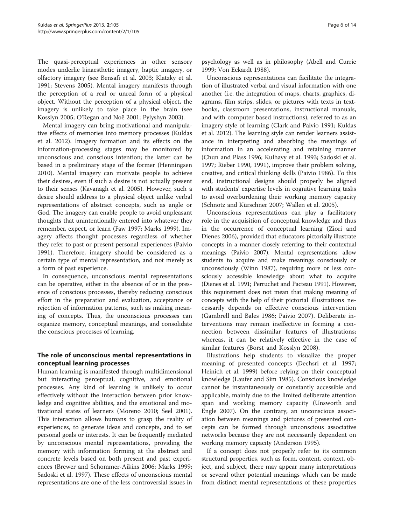The quasi-perceptual experiences in other sensory modes underlie kinaesthetic imagery, haptic imagery, or olfactory imagery (see Bensafi et al. [2003;](#page-9-0) Klatzky et al. [1991](#page-11-0); Stevens [2005\)](#page-12-0). Mental imagery manifests through the perception of a real or unreal form of a physical object. Without the perception of a physical object, the imagery is unlikely to take place in the brain (see Kosslyn [2005;](#page-11-0) O'Regan and Noë [2001;](#page-11-0) Pylyshyn [2003](#page-12-0)).

Mental imagery can bring motivational and manipulative effects of memories into memory processes (Kuldas et al. [2012\)](#page-11-0). Imagery formation and its effects on the information-processing stages may be monitored by unconscious and conscious intention; the latter can be based in a preliminary stage of the former (Henningsen [2010](#page-11-0)). Mental imagery can motivate people to achieve their desires, even if such a desire is not actually present to their senses (Kavanagh et al. [2005](#page-11-0)). However, such a desire should address to a physical object unlike verbal representations of abstract concepts, such as angle or God. The imagery can enable people to avoid unpleasant thoughts that unintentionally entered into whatever they remember, expect, or learn (Faw [1997;](#page-10-0) Marks [1999](#page-11-0)). Imagery affects thought processes regardless of whether they refer to past or present personal experiences (Paivio [1991](#page-11-0)). Therefore, imagery should be considered as a certain type of mental representation, and not merely as a form of past experience.

In consequence, unconscious mental representations can be operative, either in the absence of or in the presence of conscious processes, thereby reducing conscious effort in the preparation and evaluation, acceptance or rejection of information patterns, such as making meaning of concepts. Thus, the unconscious processes can organize memory, conceptual meanings, and consolidate the conscious processes of learning.

# The role of unconscious mental representations in conceptual learning processes

Human learning is manifested through multidimensional but interacting perceptual, cognitive, and emotional processes. Any kind of learning is unlikely to occur effectively without the interaction between prior knowledge and cognitive abilities, and the emotional and motivational states of learners (Moreno [2010](#page-11-0); Seel [2001](#page-12-0)). This interaction allows humans to grasp the reality of experiences, to generate ideas and concepts, and to set personal goals or interests. It can be frequently mediated by unconscious mental representations, providing the memory with information forming at the abstract and concrete levels based on both present and past experiences (Brewer and Schommer-Aikins [2006;](#page-10-0) Marks [1999](#page-11-0); Sadoski et al. [1997\)](#page-12-0). These effects of unconscious mental representations are one of the less controversial issues in psychology as well as in philosophy (Abell and Currie [1999](#page-9-0); Von Eckardt [1988\)](#page-13-0).

Unconscious representations can facilitate the integration of illustrated verbal and visual information with one another (i.e. the integration of maps, charts, graphics, diagrams, film strips, slides, or pictures with texts in textbooks, classroom presentations, instructional manuals, and with computer based instructions), referred to as an imagery style of learning (Clark and Paivio [1991](#page-10-0); Kuldas et al. [2012\)](#page-11-0). The learning style can render learners assistance in interpreting and absorbing the meanings of information in an accelerating and retaining manner (Chun and Plass [1996;](#page-10-0) Kulhavy et al. [1993](#page-11-0); Sadoski et al. [1997](#page-12-0); Rieber [1990](#page-12-0), [1991](#page-12-0)), improve their problem solving, creative, and critical thinking skills (Paivio [1986\)](#page-11-0). To this end, instructional designs should properly be aligned with students' expertise levels in cognitive learning tasks to avoid overburdening their working memory capacity (Schnotz and Kürschner [2007;](#page-12-0) Wallen et al. [2005](#page-13-0)).

Unconscious representations can play a facilitatory role in the acquisition of conceptual knowledge and thus in the occurrence of conceptual learning (Ziori and Dienes [2006\)](#page-13-0), provided that educators pictorially illustrate concepts in a manner closely referring to their contextual meanings (Paivio [2007\)](#page-11-0). Mental representations allow students to acquire and make meanings consciously or unconsciously (Winn [1987\)](#page-13-0), requiring more or less consciously accessible knowledge about what to acquire (Dienes et al. [1991;](#page-10-0) Perruchet and Pacteau [1991\)](#page-12-0). However, this requirement does not mean that making meaning of concepts with the help of their pictorial illustrations necessarily depends on effective conscious intervention (Gambrell and Bales [1986](#page-10-0); Paivio [2007\)](#page-11-0). Deliberate interventions may remain ineffective in forming a connection between dissimilar features of illustrations; whereas, it can be relatively effective in the case of similar features (Borst and Kosslyn [2008](#page-10-0)).

Illustrations help students to visualize the proper meaning of presented concepts (Dechsri et al. [1997](#page-10-0); Heinich et al. [1999](#page-10-0)) before relying on their conceptual knowledge (Laufer and Sim [1985](#page-11-0)). Conscious knowledge cannot be instantaneously or constantly accessible and applicable, mainly due to the limited deliberate attention span and working memory capacity (Unsworth and Engle [2007](#page-13-0)). On the contrary, an unconscious association between meanings and pictures of presented concepts can be formed through unconscious associative networks because they are not necessarily dependent on working memory capacity (Anderson [1995](#page-9-0)).

If a concept does not properly refer to its common structural properties, such as form, content, context, object, and subject, there may appear many interpretations or several other potential meanings which can be made from distinct mental representations of these properties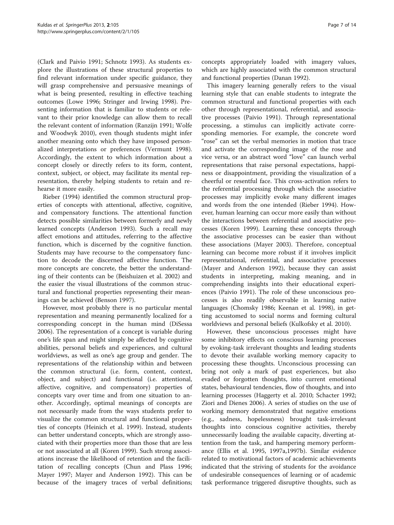(Clark and Paivio [1991](#page-10-0); Schnotz [1993](#page-12-0)). As students explore the illustrations of these structural properties to find relevant information under specific guidance, they will grasp comprehensive and persuasive meanings of what is being presented, resulting in effective teaching outcomes (Lowe [1996;](#page-11-0) Stringer and Irwing [1998\)](#page-12-0). Presenting information that is familiar to students or relevant to their prior knowledge can allow them to recall the relevant content of information (Ranzijn [1991;](#page-12-0) Wolfe and Woodwyk [2010\)](#page-13-0), even though students might infer another meaning onto which they have imposed personalized interpretations or preferences (Vermunt [1998](#page-13-0)). Accordingly, the extent to which information about a concept closely or directly refers to its form, content, context, subject, or object, may facilitate its mental representation, thereby helping students to retain and rehearse it more easily.

Rieber ([1994\)](#page-12-0) identified the common structural properties of concepts with attentional, affective, cognitive, and compensatory functions. The attentional function detects possible similarities between formerly and newly learned concepts (Anderson [1993](#page-9-0)). Such a recall may affect emotions and attitudes, referring to the affective function, which is discerned by the cognitive function. Students may have recourse to the compensatory function to decode the discerned affective function. The more concepts are concrete, the better the understanding of their contents can be (Beishuizen et al. [2002\)](#page-9-0) and the easier the visual illustrations of the common structural and functional properties representing their meanings can be achieved (Benson [1997\)](#page-9-0).

However, most probably there is no particular mental representation and meaning permanently localized for a corresponding concept in the human mind (DiSessa [2006](#page-10-0)). The representation of a concept is variable during one's life span and might simply be affected by cognitive abilities, personal beliefs and experiences, and cultural worldviews, as well as one's age group and gender. The representations of the relationship within and between the common structural (i.e. form, content, context, object, and subject) and functional (i.e. attentional, affective, cognitive, and compensatory) properties of concepts vary over time and from one situation to another. Accordingly, optimal meanings of concepts are not necessarily made from the ways students prefer to visualize the common structural and functional properties of concepts (Heinich et al. [1999\)](#page-10-0). Instead, students can better understand concepts, which are strongly associated with their properties more than those that are less or not associated at all (Koren [1999\)](#page-11-0). Such strong associations increase the likelihood of retention and the facilitation of recalling concepts (Chun and Plass [1996](#page-10-0); Mayer [1997](#page-11-0); Mayer and Anderson [1992](#page-11-0)). This can be because of the imagery traces of verbal definitions;

concepts appropriately loaded with imagery values, which are highly associated with the common structural and functional properties (Danan [1992\)](#page-10-0).

This imagery learning generally refers to the visual learning style that can enable students to integrate the common structural and functional properties with each other through representational, referential, and associative processes (Paivio [1991](#page-11-0)). Through representational processing, a stimulus can implicitly activate corresponding memories. For example, the concrete word "rose" can set the verbal memories in motion that trace and activate the corresponding image of the rose and vice versa, or an abstract word "love" can launch verbal representations that raise personal expectations, happiness or disappointment, providing the visualization of a cheerful or resentful face. This cross-activation refers to the referential processing through which the associative processes may implicitly evoke many different images and words from the one intended (Rieber [1994\)](#page-12-0). However, human learning can occur more easily than without the interactions between referential and associative processes (Koren [1999](#page-11-0)). Learning these concepts through the associative processes can be easier than without these associations (Mayer [2003](#page-11-0)). Therefore, conceptual learning can become more robust if it involves implicit representational, referential, and associative processes (Mayer and Anderson [1992\)](#page-11-0), because they can assist students in interpreting, making meaning, and in comprehending insights into their educational experiences (Paivio [1991\)](#page-11-0). The role of these unconscious processes is also readily observable in learning native languages (Chomsky [1986](#page-10-0); Keenan et al. [1998\)](#page-11-0), in getting accustomed to social norms and forming cultural worldviews and personal beliefs (Kulkofsky et al. [2010\)](#page-11-0).

However, these unconscious processes might have some inhibitory effects on conscious learning processes by evoking-task irrelevant thoughts and leading students to devote their available working memory capacity to processing these thoughts. Unconscious processing can bring not only a mark of past experiences, but also evaded or forgotten thoughts, into current emotional states, behavioural tendencies, flow of thoughts, and into learning processes (Haggerty et al. [2010](#page-10-0); Schacter [1992](#page-12-0); Ziori and Dienes [2006\)](#page-13-0). A series of studies on the use of working memory demonstrated that negative emotions (e.g., sadness, hopelessness) brought task-irrelevant thoughts into conscious cognitive activities, thereby unnecessarily loading the available capacity, diverting attention from the task, and hampering memory performance (Ellis et al. [1995](#page-10-0), [1997a,1997b\)](#page-10-0). Similar evidence related to motivational factors of academic achievements indicated that the striving of students for the avoidance of undesirable consequences of learning or of academic task performance triggered disruptive thoughts, such as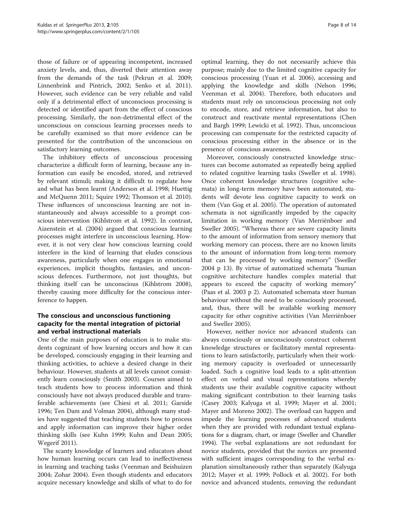those of failure or of appearing incompetent, increased anxiety levels, and, thus, diverted their attention away from the demands of the task (Pekrun et al. [2009](#page-11-0); Linnenbrink and Pintrich, [2002;](#page-11-0) Senko et al. [2011](#page-12-0)). However, such evidence can be very reliable and valid only if a detrimental effect of unconscious processing is detected or identified apart from the effect of conscious processing. Similarly, the non-detrimental effect of the unconscious on conscious learning processes needs to be carefully examined so that more evidence can be presented for the contribution of the unconscious on satisfactory learning outcomes.

The inhibitory effects of unconscious processing characterize a difficult form of learning, because any information can easily be encoded, stored, and retrieved by relevant stimuli; making it difficult to regulate how and what has been learnt (Anderson et al. [1998](#page-9-0); Huettig and McQuenn [2011;](#page-11-0) Squire [1992](#page-12-0); Thomson et al. [2010](#page-13-0)). These influences of unconscious learning are not instantaneously and always accessible to a prompt conscious intervention (Kihlstrom et al. [1992\)](#page-11-0). In contrast, Aizenstein et al. ([2004\)](#page-9-0) argued that conscious learning processes might interfere in unconscious learning. However, it is not very clear how conscious learning could interfere in the kind of learning that eludes conscious awareness, particularly when one engages in emotional experiences, implicit thoughts, fantasies, and unconscious defences. Furthermore, not just thoughts, but thinking itself can be unconscious (Kihlstrom [2008](#page-11-0)), thereby causing more difficulty for the conscious interference to happen.

# The conscious and unconscious functioning capacity for the mental integration of pictorial and verbal instructional materials

One of the main purposes of education is to make students cognizant of how learning occurs and how it can be developed, consciously engaging in their learning and thinking activities, to achieve a desired change in their behaviour. However, students at all levels cannot consistently learn consciously (Smith [2003](#page-12-0)). Courses aimed to teach students how to process information and think consciously have not always produced durable and transferable achievements (see Chiesi et al. [2011](#page-10-0); Garside [1996](#page-10-0); Ten Dam and Volman [2004\)](#page-12-0), although many studies have suggested that teaching students how to process and apply information can improve their higher order thinking skills (see Kuhn [1999](#page-11-0); Kuhn and Dean [2005](#page-11-0); Wegerif [2011\)](#page-13-0).

The scanty knowledge of learners and educators about how human learning occurs can lead to ineffectiveness in learning and teaching tasks (Veenman and Beishuizen [2004](#page-13-0); Zohar [2004\)](#page-13-0). Even though students and educators acquire necessary knowledge and skills of what to do for

optimal learning, they do not necessarily achieve this purpose; mainly due to the limited cognitive capacity for conscious processing (Yuan et al. [2006](#page-13-0)), accessing and applying the knowledge and skills (Nelson [1996](#page-11-0); Veenman et al. [2004](#page-13-0)). Therefore, both educators and students must rely on unconscious processing not only to encode, store, and retrieve information, but also to construct and reactivate mental representations (Chen and Bargh [1999](#page-10-0); Lewicki et al. [1992\)](#page-11-0). Thus, unconscious processing can compensate for the restricted capacity of conscious processing either in the absence or in the presence of conscious awareness.

Moreover, consciously constructed knowledge structures can become automated as repeatedly being applied to related cognitive learning tasks (Sweller et al. [1998](#page-12-0)). Once coherent knowledge structures (cognitive schemata) in long-term memory have been automated, students will devote less cognitive capacity to work on them (Van Gog et al. [2005](#page-13-0)). The operation of automated schemata is not significantly impeded by the capacity limitation in working memory (Van Merriënboer and Sweller [2005](#page-13-0)). "Whereas there are severe capacity limits to the amount of information from sensory memory that working memory can process, there are no known limits to the amount of information from long-term memory that can be processed by working memory" (Sweller [2004](#page-12-0) p 13). By virtue of automatized schemata "human cognitive architecture handles complex material that appears to exceed the capacity of working memory" (Paas et al. [2003](#page-11-0) p 2). Automated schemata steer human behaviour without the need to be consciously processed, and, thus, there will be available working memory capacity for other cognitive activities (Van Merriënboer and Sweller [2005\)](#page-13-0).

However, neither novice nor advanced students can always consciously or unconsciously construct coherent knowledge structures or facilitatory mental representations to learn satisfactorily, particularly when their working memory capacity is overloaded or unnecessarily loaded. Such a cognitive load leads to a split-attention effect on verbal and visual representations whereby students use their available cognitive capacity without making significant contribution to their learning tasks (Casey [2003;](#page-10-0) Kalyuga et al. [1999;](#page-11-0) Mayer et al. [2001](#page-11-0); Mayer and Moreno [2002](#page-11-0)). The overload can happen and impede the learning processes of advanced students when they are provided with redundant textual explanations for a diagram, chart, or image (Sweller and Chandler [1994\)](#page-12-0). The verbal explanations are not redundant for novice students, provided that the novices are presented with sufficient images corresponding to the verbal explanation simultaneously rather than separately (Kalyuga [2012](#page-11-0); Mayer et al. [1999](#page-11-0); Pollock et al. [2002\)](#page-12-0). For both novice and advanced students, removing the redundant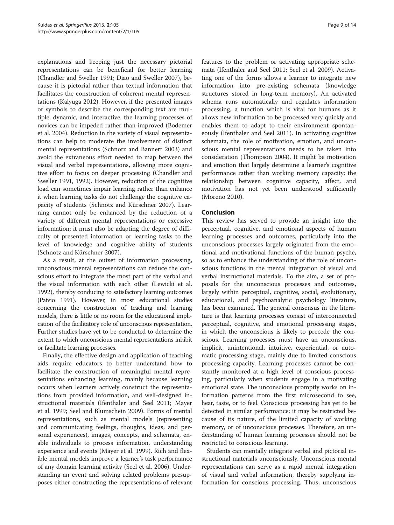explanations and keeping just the necessary pictorial representations can be beneficial for better learning (Chandler and Sweller [1991;](#page-10-0) Diao and Sweller [2007\)](#page-10-0), because it is pictorial rather than textual information that facilitates the construction of coherent mental representations (Kalyuga [2012\)](#page-11-0). However, if the presented images or symbols to describe the corresponding text are multiple, dynamic, and interactive, the learning processes of novices can be impeded rather than improved (Bodemer et al. [2004\)](#page-9-0). Reduction in the variety of visual representations can help to moderate the involvement of distinct mental representations (Schnotz and Bannert [2003\)](#page-12-0) and avoid the extraneous effort needed to map between the visual and verbal representations, allowing more cognitive effort to focus on deeper processing (Chandler and Sweller [1991](#page-10-0), [1992](#page-10-0)). However, reduction of the cognitive load can sometimes impair learning rather than enhance it when learning tasks do not challenge the cognitive capacity of students (Schnotz and Kürschner [2007\)](#page-12-0). Learning cannot only be enhanced by the reduction of a variety of different mental representations or excessive information; it must also be adapting the degree of difficulty of presented information or learning tasks to the level of knowledge and cognitive ability of students (Schnotz and Kürschner [2007\)](#page-12-0).

As a result, at the outset of information processing, unconscious mental representations can reduce the conscious effort to integrate the most part of the verbal and the visual information with each other (Lewicki et al. [1992](#page-11-0)), thereby conducing to satisfactory learning outcomes (Paivio [1991](#page-11-0)). However, in most educational studies concerning the construction of teaching and learning models, there is little or no room for the educational implication of the facilitatory role of unconscious representation. Further studies have yet to be conducted to determine the extent to which unconscious mental representations inhibit or facilitate learning processes.

Finally, the effective design and application of teaching aids require educators to better understand how to facilitate the construction of meaningful mental representations enhancing learning, mainly because learning occurs when learners actively construct the representations from provided information, and well-designed instructional materials (Ifenthaler and Seel [2011](#page-11-0); Mayer et al. [1999](#page-11-0); Seel and Blumschein [2009\)](#page-12-0). Forms of mental representations, such as mental models (representing and communicating feelings, thoughts, ideas, and personal experiences), images, concepts, and schemata, enable individuals to process information, understanding experience and events (Mayer et al. [1999\)](#page-11-0). Rich and flexible mental models improve a learner's task performance of any domain learning activity (Seel et al. [2006\)](#page-12-0). Understanding an event and solving related problems presupposes either constructing the representations of relevant

features to the problem or activating appropriate schemata (Ifenthaler and Seel [2011](#page-11-0); Seel et al. [2009](#page-12-0)). Activating one of the forms allows a learner to integrate new information into pre-existing schemata (knowledge structures stored in long-term memory). An activated schema runs automatically and regulates information processing, a function which is vital for humans as it allows new information to be processed very quickly and enables them to adapt to their environment spontaneously (Ifenthaler and Seel [2011\)](#page-11-0). In activating cognitive schemata, the role of motivation, emotion, and unconscious mental representations needs to be taken into consideration (Thompson [2004\)](#page-13-0). It might be motivation and emotion that largely determine a learner's cognitive performance rather than working memory capacity; the relationship between cognitive capacity, affect, and motivation has not yet been understood sufficiently (Moreno [2010](#page-11-0)).

# Conclusion

This review has served to provide an insight into the perceptual, cognitive, and emotional aspects of human learning processes and outcomes, particularly into the unconscious processes largely originated from the emotional and motivational functions of the human psyche, so as to enhance the understanding of the role of unconscious functions in the mental integration of visual and verbal instructional materials. To the aim, a set of proposals for the unconscious processes and outcomes, largely within perceptual, cognitive, social, evolutionary, educational, and psychoanalytic psychology literature, has been examined. The general consensus in the literature is that learning processes consist of interconnected perceptual, cognitive, and emotional processing stages, in which the unconscious is likely to precede the conscious. Learning processes must have an unconscious, implicit, unintentional, intuitive, experiential, or automatic processing stage, mainly due to limited conscious processing capacity. Learning processes cannot be constantly monitored at a high level of conscious processing, particularly when students engage in a motivating emotional state. The unconscious promptly works on information patterns from the first microsecond to see, hear, taste, or to feel. Conscious processing has yet to be detected in similar performance; it may be restricted because of its nature, of the limited capacity of working memory, or of unconscious processes. Therefore, an understanding of human learning processes should not be restricted to conscious learning.

Students can mentally integrate verbal and pictorial instructional materials unconsciously. Unconscious mental representations can serve as a rapid mental integration of visual and verbal information, thereby supplying information for conscious processing. Thus, unconscious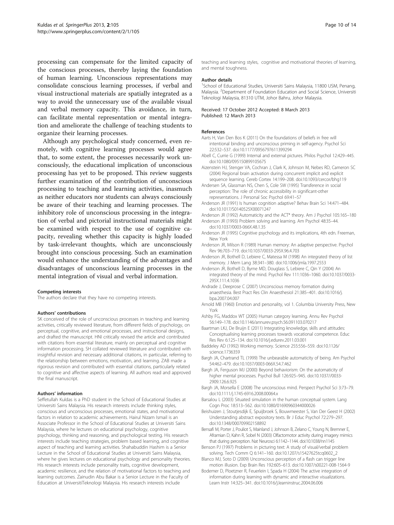<span id="page-9-0"></span>processing can compensate for the limited capacity of the conscious processes, thereby laying the foundation of human learning. Unconscious representations may consolidate conscious learning processes, if verbal and visual instructional materials are spatially integrated as a way to avoid the unnecessary use of the available visual and verbal memory capacity. This avoidance, in turn, can facilitate mental representation or mental integration and ameliorate the challenge of teaching students to organize their learning processes.

Although any psychological study concerned, even remotely, with cognitive learning processes would agree that, to some extent, the processes necessarily work unconsciously, the educational implication of unconscious processing has yet to be proposed. This review suggests further examination of the contribution of unconscious processing to teaching and learning activities, inasmuch as neither educators nor students can always consciously be aware of their teaching and learning processes. The inhibitory role of unconscious processing in the integration of verbal and pictorial instructional materials might be examined with respect to the use of cognitive capacity, revealing whether this capacity is highly loaded by task-irrelevant thoughts, which are unconsciously brought into conscious processing. Such an examination would enhance the understanding of the advantages and disadvantages of unconscious learning processes in the mental integration of visual and verbal information.

#### Competing interests

The authors declare that they have no competing interests.

#### Authors' contributions

SK conceived of the role of unconscious processes in teaching and learning activities, critically reviewed literature, from different fields of psychology, on perceptual, cognitive, and emotional processes, and instructional designs, and drafted the manuscript. HNI critically revised the article and contributed with citations from essential literature, mainly on perceptual and cognitive information processing. SH collated reviewed literature and contributed with insightful revision and necessary additional citations, in particular, referring to the relationship between emotions, motivation, and learning. ZAB made a rigorous revision and contributed with essential citations, particularly related to cognitive and affective aspects of learning. All authors read and approved the final manuscript.

### Authors' information

Seffetullah Kuldas is a PhD student in the School of Educational Studies at Universiti Sains Malaysia. His research interests include thinking styles, conscious and unconscious processes, emotional states, and motivational factors in relation to academic achievements. Hairul Nizam Ismail is an Associate Professor in the School of Educational Studies at Universiti Sains Malaysia, where he lectures on educational psychology, cognitive psychology, thinking and reasoning, and psychological testing. His research interests include teaching strategies, problem based learning, and cognitive aspect of teaching and learning activities. Shahabuddin Hashim is a Senior Lecture in the School of Educational Studies at Universiti Sains Malaysia, where he gives lectures on educational psychology and personality theories. His research interests include personality traits, cognitive development, academic resilience, and the relation of motivational factors to teaching and learning outcomes. Zainudin Abu Bakar is a Senior Lecture in the Faculty of Education at UniversitiTeknologi Malaysia. His research interests include

teaching and learning styles, cognitive and motivational theories of learning, and mental toughness.

#### Author details

<sup>1</sup>School of Educational Studies, Universiti Sains Malaysia, 11800 USM, Penang, Malaysia. <sup>2</sup>Department of Foundation Education and Social Science, Universiti Teknologi Malaysia, 81310 UTM, Johor Bahru, Johor Malaysia.

#### Received: 17 October 2012 Accepted: 8 March 2013 Published: 12 March 2013

#### References

- Aarts H, Van Den Bos K (2011) On the foundations of beliefs in free will intentional binding and unconscious priming in self-agency. Psychol Sci 22:532–537. doi[:10.1177/0956797611399294](http://dx.doi.org/10.1177/0956797611399294)
- Abell C, Currie G (1999) Internal and external pictures. Philos Psychol 12:429–445. doi[:10.1080/095150899105675](http://dx.doi.org/10.1080/095150899105675)
- Aizenstein HJ, Stenger VA, Cochran J, Clark K, Johnson M, Nebes RD, Cameron SC (2004) Regional brain activation during concurrent implicit and explicit sequence learning. Cereb Cortex 14:199–208. doi:[10.1093/cercor/bhg119](http://dx.doi.org/10.1093/cercor/bhg119)
- Andersen SA, Glassman NS, Chen S, Cole SW (1995) Transference in social perception: The role of chronic accessibility in significant-other representations. J Personal Soc Psychol 69:41–57
- Anderson JR (1991) Is human cognition adaptive? Behav Brain Sci 14:471–484. doi[:10.1017/S0140525X00071247](http://dx.doi.org/10.1017/S0140525X00071247)
- Anderson JR (1992) Automaticity and the ACT\* theory. Am J Psychol 105:165–180 Anderson JR (1993) Problem solving and learning. Am Psychol 48:35–44. doi[:10.1037/0003-066X.48.1.35](http://dx.doi.org/10.1037/0003-066X.48.1.35)
- Anderson JR (1995) Cognitive psychology and its implications, 4th edn. Freeman, New York
- Anderson JR, Milson R (1989) Human memory: An adaptive perspective. Psychol Rev 96:703–719. doi:[10.1037/0033-295X.96.4.703](http://dx.doi.org/10.1037/0033-295X.96.4.703)
- Anderson JR, Bothell D, Lebiere C, Matessa M (1998) An integrated theory of list memory. J Mem Lang 38:341–380. doi[:10.1006/jmla.1997.2553](http://dx.doi.org/10.1006/jmla.1997.2553)
- Anderson JR, Bothell D, Byrne MD, Douglass S, Lebiere C, Qin Y (2004) An integrated theory of the mind. Psychol Rev 111:1036–1060. doi:[10.1037/0033-](http://dx.doi.org/10.1037/0033-295X.111.4.1036) [295X.111.4.1036](http://dx.doi.org/10.1037/0033-295X.111.4.1036)
- Andrade J, Deeprose C (2007) Unconscious memory formation during anaesthesia. Best Pract Res Clin Anaesthesiol 21:385–401. doi[:10.1016/j.](http://dx.doi.org/10.1016/j.bpa.2007.04.007) [bpa.2007.04.007](http://dx.doi.org/10.1016/j.bpa.2007.04.007)
- Arnold MB (1960) Emotion and personality, vol 1. Columbia University Press, New York
- Ashby FG, Maddox WT (2005) Human category learning. Annu Rev Psychol 56:149–178. doi[:10.1146/annurev.psych.56.091103.070217](http://dx.doi.org/10.1146/annurev.psych.56.091103.070217)
- Baartman LKJ, De Bruijn E (2011) Integrating knowledge, skills and attitudes: Conceptualising learning processes towards vocational competence. Educ Res Rev 6:125–134. doi[:10.1016/j.edurev.2011.03.001](http://dx.doi.org/10.1016/j.edurev.2011.03.001)
- Baddeley AD (1992) Working memory. Science 255:556–559. doi[:10.1126/](http://dx.doi.org/10.1126/science.1736359) [science.1736359](http://dx.doi.org/10.1126/science.1736359)
- Bargh JA, Chartrand TL (1999) The unbearable automaticity of being. Am Psychol 54:462–479. doi[:10.1037/0003-066X.54.7.462](http://dx.doi.org/10.1037/0003-066X.54.7.462)
- Bargh JA, Ferguson MJ (2000) Beyond behaviorism: On the automaticity of higher mental processes. Psychol Bull 126:925–945. doi[:10.1037//0033-](http://dx.doi.org/10.1037//0033-2909.126.6.925) [2909.126.6.925](http://dx.doi.org/10.1037//0033-2909.126.6.925)
- Bargh JA, Morsella E (2008) The unconscious mind. Perspect Psychol Sci 3:73–79. doi[:10.1111/j.1745-6916.2008.00064.x](http://dx.doi.org/10.1111/j.1745-6916.2008.00064.x)
- Barsalou L (2003) Situated simulation in the human conceptual system. Lang Cogn Proc 18:513–562. doi:[10.1080/01690960344000026](http://dx.doi.org/10.1080/01690960344000026)
- Beishuizen J, Stoutjesdijk E, Spuijbroek S, Bouwmeester S, Van Der Geest H (2002) Understanding abstract expository texts. Br J Educ Psychol 72:279–297. doi[:10.1348/000709902158892](http://dx.doi.org/10.1348/000709902158892)
- Bensafi M, Porter J, Pouliot S, Mainland J, Johnson B, Zelano C, Young N, Bremner E, Aframian D, Kahn R, Sobel N (2003) Olfactomotor activity during imagery mimics that during perception. Nat Neurosci 6:1142–1144. doi[:10.1038/nn1145](http://dx.doi.org/10.1038/nn1145)
- Benson PJ (1997) Problems in picturing text: A study of visual/verbal problem solving. Tech Comm Q 6:141–160. doi:[10.1207/s15427625tcq0602\\_2](http://dx.doi.org/10.1207/s15427625tcq0602_2)
- Blanco MJ, Soto D (2009) Unconscious perception of a flash can trigger line motion illusion. Exp Brain Res 192:605–613. doi[:10.1007/s00221-008-1564-9](http://dx.doi.org/10.1007/s00221-008-1564-9)
- Bodemer D, Ploetzner R, Feuerlein I, Spada H (2004) The active integration of information during learning with dynamic and interactive visualizations. Learn Instr 14:325–341. doi[:10.1016/j.learninstruc.2004.06.006](http://dx.doi.org/10.1016/j.learninstruc.2004.06.006)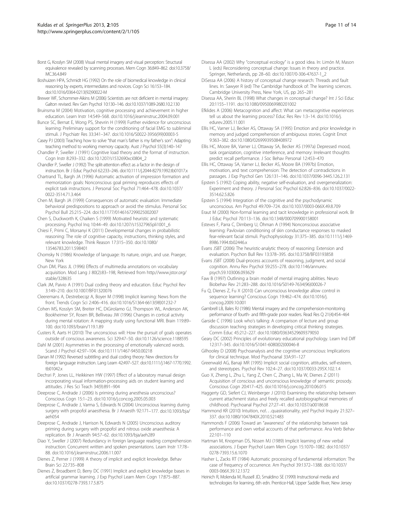<span id="page-10-0"></span>Borst G, Kosslyn SM (2008) Visual mental imagery and visual perception: Structural equivalence revealed by scanning processes. Mem Cogn 36:849–862. doi[:10.3758/](http://dx.doi.org/10.3758/MC.36.4.849) [MC.36.4.849](http://dx.doi.org/10.3758/MC.36.4.849)

Boshuizen HPA, Schmidt HG (1992) On the role of biomedical knowledge in clinical reasoning by experts, intermediates and novices. Cogn Sci 16:153–184. doi[:10.1016/0364-0213\(92\)90022-M](http://dx.doi.org/10.1016/0364-0213(92)90022-M)

- Brewer WF, Schommer-Aikins M (2006) Scientists are not deficient in mental imagery: Galton revised. Rev Gen Psychol 10:130–146. doi[:10.1037/1089-2680.10.2.130](http://dx.doi.org/10.1037/1089-2680.10.2.130)
- Bruinsma M (2004) Motivation, cognitive processing and achievement in higher education. Learn Instr 14:549–568. doi[:10.1016/j.learninstruc.2004.09.001](http://dx.doi.org/10.1016/j.learninstruc.2004.09.001)
- Bunce SC, Bernat E, Wong PS, Shevrin H (1999) Further evidence for unconscious learning: Preliminary support for the conditioning of facial EMG to subliminal stimuli. J Psychiatr Res 33:341–347. doi:[10.1016/S0022-3956\(99\)00003-5](http://dx.doi.org/10.1016/S0022-3956(99)00003-5)
- Casey PJ (2003) Teaching how to solve "that man's father is my father's son": Adapting teaching method to working memory capacity. Aust J Psychol 55(3):140–147

Chandler P, Sweller J (1991) Cognitive load theory and the format of instruction. Cogn Instr 8:293–332. doi:[10.1207/s1532690xci0804\\_2](http://dx.doi.org/10.1207/s1532690xci0804_2)

- Chandler P, Sweller J (1992) The split-attention effect as a factor in the design of instruction. Br J Educ Psychol 62:233–246. doi:[10.1111/j.2044-8279.1992.tb01017.x](http://dx.doi.org/10.1111/j.2044-8279.1992.tb01017.x)
- Chartrand TL, Bargh JA (1996) Automatic activation of impression formation and memorization goals: Nonconscious goal priming reproduces effects of explicit task instructions. J Personal Soc Psychol 71:464–478. doi[:10.1037/](http://dx.doi.org/10.1037/0022-3514.71.3.464) [0022-3514.71.3.464](http://dx.doi.org/10.1037/0022-3514.71.3.464)
- Chen M, Bargh JA (1999) Consequences of automatic evaluation: Immediate behavioral predispositions to approach or avoid the stimulus. Personal Soc Psychol Bull 25:215–224. doi[:10.1177/0146167299025002007](http://dx.doi.org/10.1177/0146167299025002007)
- Chen S, Duckworth K, Chaiken S (1999) Motivated heuristic and systematic processing. Psychol Inq 10:44–49. doi[:10.1207/s15327965pli1001\\_6](http://dx.doi.org/10.1207/s15327965pli1001_6)
- Chiesi F, Primi C, Morsanyi K (2011) Developmental changes in probabilistic reasoning: The role of cognitive capacity, instructions, thinking styles, and relevant knowledge. Think Reason 17:315–350. doi[:10.1080/](http://dx.doi.org/10.1080/13546783.2011.598401) [13546783.2011.598401](http://dx.doi.org/10.1080/13546783.2011.598401)
- Chomsky N (1986) Knowledge of language: Its nature, origin, and use. Praeger, New York
- Chun DM, Plass JL (1996) Effects of multimedia annotations on vocabulary acquisition. Mod Lang J 80(2):83–198, Retrieved from [http://www.jstor.org/](http://www.jstor.org/stable/328635) [stable/328635](http://www.jstor.org/stable/328635)
- Clark JM, Paivio A (1991) Dual coding theory and education. Educ Psychol Rev 3:149–210. doi:[10.1007/BF01320076](http://dx.doi.org/10.1007/BF01320076)
- Cleeremans A, Destrebecqz A, Boyer M (1998) Implicit learning: News from the front. Trends Cogn Sci 2:406–416. doi:[10.1016/S1364-6613\(98\)01232-7](http://dx.doi.org/10.1016/S1364-6613(98)01232-7)
- Cohen MS, Kosslyn SM, Breiter HC, DiGirolamo GJ, Thompson WL, Anderson AK, Bookheimer SY, Rosen BR, Belliveau JW (1996) Changes in cortical activity during mental rotation: A mapping study using functional MRI. Brain 119:89– 100. doi:[10.1093/brain/119.1.89](http://dx.doi.org/10.1093/brain/119.1.89)
- Custers R, Aarts H (2010) The unconscious will: How the pursuit of goals operates outside of conscious awareness. Sci 329:47–50. doi:[10.1126/science.1188595](http://dx.doi.org/10.1126/science.1188595)
- Dahl M (2001) Asymmetries in the processing of emotionally valenced words. Scand J Psychol 42:97–104. doi[:10.1111/1467-9450.00218](http://dx.doi.org/10.1111/1467-9450.00218)

Danan M (1992) Reversed subtitling and dual coding theory: New directions for foreign language instruction. Lang Learn 42:497–527. doi[:10.1111/j.1467-1770.1992.](http://dx.doi.org/10.1111/j.1467-1770.1992.tb01042.x) [tb01042.x](http://dx.doi.org/10.1111/j.1467-1770.1992.tb01042.x)

Dechsri P, Jones LL, Heikkinen HW (1997) Effect of a laboratory manual design incorporating visual information-processing aids on student learning and attitudes. J Res Sci Teach 34(9):891–904

- Deeprose C, Andrade J (2006) Is priming during anesthesia unconscious? Conscious Cogn 15:1–23. doi:[10.1016/j.concog.2005.05.003](http://dx.doi.org/10.1016/j.concog.2005.05.003)
- Deeprose C, Andrade J, Varma S, Edwards N (2004) Unconscious learning during surgery with propofol anaesthesia. Br J Anaesth 92:171–177. doi[:10.1093/bja/](http://dx.doi.org/10.1093/bja/aeh054) [aeh054](http://dx.doi.org/10.1093/bja/aeh054)
- Deeprose C, Andrade J, Harrison N, Edwards N (2005) Unconscious auditory priming during surgery with propofol and nitrous oxide anaesthesia: A replication. Br J Anaesth 94:57–62. doi[:10.1093/bja/aeh289](http://dx.doi.org/10.1093/bja/aeh289)
- Diao Y, Sweller J (2007) Redundancy in foreign language reading comprehension instruction: Concurrent written and spoken presentations. Learn Instr 17:78– 88. doi[:10.1016/j.learninstruc.2006.11.007](http://dx.doi.org/10.1016/j.learninstruc.2006.11.007)
- Dienes Z, Perner J (1999) A theory of implicit and explicit knowledge. Behav Brain Sci 22:735–808
- Dienes Z, Broadbent D, Berry DC (1991) Implicit and explicit knowledge bases in artificial grammar learning. J Exp Psychol Learn Mem Cogn 17:875–887. doi[:10.1037/0278-7393.17.5.875](http://dx.doi.org/10.1037/0278-7393.17.5.875)
- Disessa AA (2002) Why "conceptual ecology" is a good idea. In: Limón M, Mason L (eds) Reconsidering conceptual change: Issues in theory and practice. Springer, Netherlands, pp 28–60. doi[:10.1007/0-306-47637-1\\_2](http://dx.doi.org/10.1007/0-306-47637-1_2)
- DiSessa AA (2006) A history of conceptual change research: Threads and fault lines. In: Sawyer R (ed) The Cambridge handbook of: The learning sciences. Cambridge University Press, New York, US, pp 265–281
- Disessa AA, Sherin BL (1998) What changes in conceptual change? Int J Sci Educ 20:1155–1191. doi[:10.1080/0950069980201002](http://dx.doi.org/10.1080/0950069980201002)
- Efklides A (2006) Metacognition and affect: What can metacognitive experiences tell us about the learning process? Educ Res Rev 1:3–14. doi:[10.1016/j.](http://dx.doi.org/10.1016/j.edurev.2005.11.001) [edurev.2005.11.001](http://dx.doi.org/10.1016/j.edurev.2005.11.001)
- Ellis HC, Varner LJ, Becker AS, Ottaway SA (1995) Emotion and prior knowledge in memory and judged comprehension of ambiguous stories. Cognit Emot 9:363–382. doi:[10.1080/02699939508408972](http://dx.doi.org/10.1080/02699939508408972)

Ellis HC, Moore BA, Varner LJ, Ottaway SA, Becker AS (1997a) Depressed mood, task organization, cognitive interference, and memory: Irrelevant thoughts predict recall performance. J Soc Behav Personal 12:453–470

Ellis HC, Ottaway SA, Varner LJ, Becker AS, Moore BA (1997b) Emotion, motivation, and text comprehension: The detection of contradictions in passages. J Exp Psychol Gen 126:131–146. doi:[10.1037/0096-3445.126.2.131](http://dx.doi.org/10.1037/0096-3445.126.2.131)

Epstein S (1992) Coping ability, negative self-evaluation, and overgeneralization: Experiment and theory. J Personal Soc Psychol 62:826–836. doi:[10.1037/0022-](http://dx.doi.org/10.1037/0022-3514.62.5.826) [3514.62.5.826](http://dx.doi.org/10.1037/0022-3514.62.5.826)

Epstein S (1994) Integration of the cognitive and the psychodynamic unconscious. Am Psychol 49:709–724. doi:[10.1037/0003-066X.49.8.709](http://dx.doi.org/10.1037/0003-066X.49.8.709)

- Eraut M (2000) Non-formal learning and tacit knowledge in professional work. Br J Educ Psychol 70:113–136. doi:[10.1348/000709900158001](http://dx.doi.org/10.1348/000709900158001)
- Esteves F, Parra C, Dimberg U, Öhman A (1994) Nonconscious associative learning: Pavlovian conditioning of skin conductance responses to masked fear-relevant facial stimuli. Psychophysiology 31:375–385. doi[:10.1111/j.1469-](http://dx.doi.org/10.1111/j.1469-8986.1994.tb02446.x) [8986.1994.tb02446.x](http://dx.doi.org/10.1111/j.1469-8986.1994.tb02446.x)
- Evans JSBT (2006) The heuristic-analytic theory of reasoning: Extension and evaluation. Psychon Bull Rev 13:378–395. doi:[10.3758/BF03193858](http://dx.doi.org/10.3758/BF03193858)

Evans JSBT (2008) Dual-process accounts of reasoning, judgment, and social cognition. Annu Rev Psychol 59:255–278. doi[:10.1146/annurev.](http://dx.doi.org/10.1146/annurev.psych.59.103006.093629) [psych.59.103006.093629](http://dx.doi.org/10.1146/annurev.psych.59.103006.093629)

- Faw B (1997) Outlining a brain model of mental imaging abilities. Neuro Biobehav Rev 21:283–288. doi[:10.1016/S0149-7634\(96\)00026-7](http://dx.doi.org/10.1016/S0149-7634(96)00026-7)
- Fu Q, Dienes Z, Fu X (2010) Can unconscious knowledge allow control in sequence learning? Conscious Cogn 19:462–474. doi[:10.1016/j.](http://dx.doi.org/10.1016/j.concog.2009.10.001) [concog.2009.10.001](http://dx.doi.org/10.1016/j.concog.2009.10.001)
- Gambrell LB, Bales RJ (1986) Mental imagery and the comprehension-monitoring performance of fourth- and fifth-grade poor readers. Read Res Q 21(4):454–464

Garside C (1996) Look who's talking: A comparison of lecture and group discussion teaching strategies in developing critical thinking strategies. Comm Educ 45:212–227. doi[:10.1080/03634529609379050](http://dx.doi.org/10.1080/03634529609379050)

- Geary DC (2002) Principles of evolutionary educational psychology. Learn Ind Diff 12:317–345. doi[:10.1016/S1041-6080\(02\)00046-8](http://dx.doi.org/10.1016/S1041-6080(02)00046-8)
- Gilhooley D (2008) Psychoanalysis and the cognitive unconscious: Implications for clinical technique. Mod Psychoanal 33A:91–127
- Greenwald AG, Banaji MR (1995) Implicit social cognition, attitudes, self-esteem, and stereotypes. Psychol Rev 102:4–27. doi[:10.1037/0033-295X.102.1.4](http://dx.doi.org/10.1037/0033-295X.102.1.4)

Guo X, Zheng L, Zhu L, Yang Z, Chen C, Zhang L, Ma W, Dienes Z (2011) Acquisition of conscious and unconscious knowledge of semantic prosody. Conscious Cogn 20:417–425. doi:[10.1016/j.concog.2010.06.015](http://dx.doi.org/10.1016/j.concog.2010.06.015)

Haggerty GD, Siefert CJ, Weinberger J (2010) Examining the relationship between current attachment status and freely recalled autobiographical memories of childhood. Psychoanal Psychol 27:27–41. doi[:10.1037/a0018638](http://dx.doi.org/10.1037/a0018638)

- Hammond KR (2010) Intuition, no!...quasirationality, yes! Psychol Inquiry 21:327-337. doi:[10.1080/1047840X.2010.521483](http://dx.doi.org/10.1080/1047840X.2010.521483)
- Hammonds F (2006) Toward an "awareness" of the relationship between task performance and own verbal accounts of that performance. Ana Verb Behav 22:101–110
- Hartman M, Knopman DS, Nissen MJ (1989) Implicit learning of new verbal associations. J Exper Psychol Learn Mem Cogn 15:1070–1082. doi[:10.1037/](http://dx.doi.org/10.1037/0278-7393.15.6.1070) [0278-7393.15.6.1070](http://dx.doi.org/10.1037/0278-7393.15.6.1070)

Hasher L, Zacks RT (1984) Automatic processing of fundamental information: The case of frequency of occurrence. Am Psychol 39:1372–1388. doi[:10.1037/](http://dx.doi.org/10.1037/0003-066X.39.12.1372) [0003-066X.39.12.1372](http://dx.doi.org/10.1037/0003-066X.39.12.1372)

Heinich R, Molenda M, Russell JD, Smaldino SE (1999) Instructional media and technologies for learning, 6th edn. Prentice-Hall, Upper Saddle River, New Jersey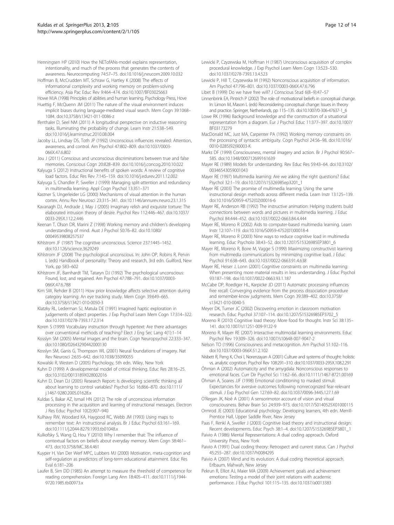<span id="page-11-0"></span>Henningsen HP (2010) How the NETofANs-model explains representation, intentionality, and much of the process that generates the contents of awareness. Neurocomputing 74:57–75. doi[:10.1016/j.neucom.2009.10.032](http://dx.doi.org/10.1016/j.neucom.2009.10.032)

Hoffman B, McCrudden MT, Schraw G, Hartley K (2008) The effects of informational complexity and working memory on problem-solving efficiency. Asia Pac Educ Rev 9:464–474. doi:[10.1007/BF03025663](http://dx.doi.org/10.1007/BF03025663)

Howe MJA (1998) Principles of abilities and human learning. Psychology Press, Hove

- Huettig F, McQuenn JM (2011) The nature of the visual environment induces implicit biases during language-mediated visual search. Mem Cogn 39:1068– 1084. doi:[10.3758/s13421-011-0086-z](http://dx.doi.org/10.3758/s13421-011-0086-z)
- Ifenthaler D, Seel NM (2011) A longitudinal perspective on inductive reasoning tasks. Illuminating the probability of change. Learn Instr 21:538–549. doi[:10.1016/j.learninstruc.2010.08.004](http://dx.doi.org/10.1016/j.learninstruc.2010.08.004)
- Jacoby LL, Lindsay DS, Toth JP (1992) Unconscious influences revealed: Attention, awareness, and control. Am Psychol 47:802–809. doi[:10.1037/0003-](http://dx.doi.org/10.1037/0003-066X.47.6.802) [066X.47.6.802](http://dx.doi.org/10.1037/0003-066X.47.6.802)
- Jou J (2011) Conscious and unconscious discriminations between true and false memories. Conscious Cogn 20:828–839. doi:[10.1016/j.concog.2010.10.022](http://dx.doi.org/10.1016/j.concog.2010.10.022)

Kalyuga S (2012) Instructional benefits of spoken words: A review of cognitive load factors. Educ Res Rev 7:145–159. doi:[10.1016/j.edurev.2011.12.002](http://dx.doi.org/10.1016/j.edurev.2011.12.002)

Kalyuga S, Chandler P, Sweller J (1999) Managing split-attention and redundancy in multimedia learning. Appl Cogn Psychol 13:351–371

Kastner S, Ungerleider LG (2000) Mechanisms of visual attention in the human cortex. Annu Rev Neurosci 23:315–341. doi[:10.1146/annurev.neuro.23.1.315](http://dx.doi.org/10.1146/annurev.neuro.23.1.315)

Kavanagh DJ, Andrade J, May J (2005) Imaginary relish and exquisite torture: The elaborated intrusion theory of desire. Psychol Rev 112:446–467. doi:[10.1037/](http://dx.doi.org/10.1037/0033-295X.112.2.446) [0033-295X.112.2.446](http://dx.doi.org/10.1037/0033-295X.112.2.446)

Keenan T, Olson DR, Marini Z (1998) Working memory and children's developing understanding of mind. Aust J Psychol 50:76–82. doi[:10.1080/](http://dx.doi.org/10.1080/00049539808257537) [00049539808257537](http://dx.doi.org/10.1080/00049539808257537)

- Kihlstrom JF (1987) The cognitive unconscious. Science 237:1445–1452. doi[:10.1126/science.3629249](http://dx.doi.org/10.1126/science.3629249)
- Kihlstrom JF (2008) The psychological unconscious. In: John OP, Robins R, Pervin L (eds) Handbook of personality: Theory and research, 3rd edn. Guilford, New York, pp 583–602
- Kihlstrom JF, Barnhardt TM, Tataryn DJ (1992) The psychological unconscious: Found, lost, and regained. Am Psychol 47:788–791. doi[:10.1037/0003-](http://dx.doi.org/10.1037/0003-066X.47.6.788) [066X.47.6.788](http://dx.doi.org/10.1037/0003-066X.47.6.788)
- Kim SW, Rehder B (2011) How prior knowledge affects selective attention during category learning: An eye tracking study. Mem Cogn 39:649–665. doi[:10.3758/s13421-010-0050-3](http://dx.doi.org/10.3758/s13421-010-0050-3)

Klatzky RL, Lederman SJ, Matula DE (1991) Imagined haptic exploration in judgements of object properties. J Exp Psychol Learn Mem Cogn 17:314–322. doi[:10.1037/0278-7393.17.2.314](http://dx.doi.org/10.1037/0278-7393.17.2.314)

- Koren S (1999) Vocabulary instruction through hypertext: Are there advantages over conventional methods of teaching? Elect J Eng Sec Lang 4(1):1–14
- Kosslyn SM (2005) Mental images and the brain. Cogn Neuropsychol 22:333–347. doi[:10.1080/02643290442000130](http://dx.doi.org/10.1080/02643290442000130)

Kosslyn SM, Ganis G, Thompson WL (2001) Neural foundations of imagery. Nat Rev Neurosci 2:635–642. doi[:10.1038/35090055](http://dx.doi.org/10.1038/35090055)

Kowalski R, Westen D (2005) Psychology, 5th edn. Wiley, New York

Kuhn D (1999) A developmental model of critical thinking. Educ Res 28:16–25. doi[:10.3102/0013189X028002016](http://dx.doi.org/10.3102/0013189X028002016)

Kuhn D, Dean DJ (2005) Research Report: Is developing scientific thinking all about learning to control variables? Psychol Sci 16:866–870. doi:[10.1111/](http://dx.doi.org/10.1111/j.1467-9280.2005.01628.x) [j.1467-9280.2005.01628.x](http://dx.doi.org/10.1111/j.1467-9280.2005.01628.x)

Kuldas S, Bakar AZ, Ismail HN (2012) The role of unconscious information processing in the acquisition and learning of instructional messages. Electron J Res Educ Psychol 10(2):907–940

Kulhavy RW, Woodard KA, Haygood RC, Webb JM (1993) Using maps to remember text: An instructional analysis. Br J Educ Psychol 63:161–169. doi[:10.1111/j.2044-8279.1993.tb01048.x](http://dx.doi.org/10.1111/j.2044-8279.1993.tb01048.x)

Kulkofsky S, Wang Q, Hou Y (2010) Why I remember that: The influence of contextual factors on beliefs about everyday memory. Mem Cogn 38:461– 473. doi:[10.3758/MC.38.4.461](http://dx.doi.org/10.3758/MC.38.4.461)

Kuyper H, Van Der Werf MPC, Lubbers MJ (2000) Motivation, meta-cognition and self-regulation as predictors of long-term educational attainment. Educ Res Eval 6:181–206

Laufer B, Sim DD (1985) An attempt to measure the threshold of competence for reading comprehension. Foreign Lang Ann 18:405–411. doi:[10.1111/j.1944-](http://dx.doi.org/10.1111/j.1944-9720.1985.tb00973.x) [9720.1985.tb00973.x](http://dx.doi.org/10.1111/j.1944-9720.1985.tb00973.x)

- Lewicki P, Czyzewska M, Hoffman H (1987) Unconscious acquisition of complex procedural knowledge. J Exp Psychol Learn Mem Cogn 13:523–530. doi[:10.1037/0278-7393.13.4.523](http://dx.doi.org/10.1037/0278-7393.13.4.523)
- Lewicki P, Hill T, Czyzewska M (1992) Nonconscious acquisition of information. Am Psychol 47:796–801. doi[:10.1037/0003-066X.47.6.796](http://dx.doi.org/10.1037/0003-066X.47.6.796)
- Libet B (1999) Do we have free will? J Conscious Stud 6(8–9):47–57 Linnenbrink EA, Pintrich P (2002) The role of motivational beliefs in conceptual change. In: Limon M, Mason L (eds) Reconsidering conceptual change: Issues in theory

and practice. Springer, Netherlands, pp 115–135. doi[:10.1007/0-306-47637-1\\_6](http://dx.doi.org/10.1007/0-306-47637-1_6) Lowe RK (1996) Background knowledge and the construction of a situational representation from a diagram. Eur J Psychol Educ 11:377–397. doi:[10.1007/](http://dx.doi.org/10.1007/BF03173279) [BF03173279](http://dx.doi.org/10.1007/BF03173279)

- MacDonald MC, Just MA, Carpenter PA (1992) Working memory constraints on the processing of syntactic ambiguity. Cogn Psychol 24:56–98. doi:[10.1016/](http://dx.doi.org/10.1016/0010-0285(92)90003-K) [0010-0285\(92\)90003-K](http://dx.doi.org/10.1016/0010-0285(92)90003-K)
- Marks DF (1999) Consciousness, mental imagery and action. Br J Psychol 90:567– 585. doi:[10.1348/000712699161639](http://dx.doi.org/10.1348/000712699161639)
- Mayer RE (1989) Models for understanding. Rev Educ Res 59:43–64. doi[:10.3102/](http://dx.doi.org/10.3102/00346543059001043) [00346543059001043](http://dx.doi.org/10.3102/00346543059001043)
- Mayer RE (1997) Multimedia learning: Are we asking the right questions? Educ Psychol 32:1–19. doi:[10.1207/s15326985ep3201\\_1](http://dx.doi.org/10.1207/s15326985ep3201_1)

Mayer RE (2003) The promise of multimedia learning: Using the same instructional design methods across different media. Learn Instr 13:125–139. doi[:10.1016/S0959-4752\(02\)00016-6](http://dx.doi.org/10.1016/S0959-4752(02)00016-6)

Mayer RE, Anderson RB (1992) The instructive animation: Helping students build connections between words and pictures in multimedia learning. J Educ Psychol 84:444–452. doi[:10.1037/0022-0663.84.4.444](http://dx.doi.org/10.1037/0022-0663.84.4.444)

- Mayer RE, Moreno R (2002) Aids to computer-based multimedia learning. Learn Instr 12:107–119. doi:[10.1016/S0959-4752\(01\)00018-4](http://dx.doi.org/10.1016/S0959-4752(01)00018-4)
- Mayer RE, Moreno R (2003) Nine ways to reduce cognitive load in multimedia learning. Educ Psycholo 38:43–52. doi[:10.1207/S15326985EP3801\\_6](http://dx.doi.org/10.1207/S15326985EP3801_6)
- Mayer RE, Moreno R, Boire M, Vagge S (1999) Maximizing constructivist learning from multimedia communications by minimizing cognitive load. J Educ Psychol 91:638–643. doi[:10.1037/0022-0663.91.4.638](http://dx.doi.org/10.1037/0022-0663.91.4.638)
- Mayer RE, Heiser J, Lonn (2001) Cognitive constraints on multimedia learning: When presenting more material results in less understanding. J Educ Psychol 93:187–198. doi[:10.1037/0022-0663.93.1.187](http://dx.doi.org/10.1037/0022-0663.93.1.187)
- McCabe DP, Roediger HL, Karpicke JD (2011) Automatic processing influences free recall: Converging evidence from the process dissociation procedure and remember-know judgments. Mem Cogn 39:389–402. doi[:10.3758/](http://dx.doi.org/10.3758/s13421-010-0040-5) [s13421-010-0040-5](http://dx.doi.org/10.3758/s13421-010-0040-5)

Meyer DK, Turner JC (2002) Discovering emotion in classroom motivation research. Educ Psychol 37:107–114. doi[:10.1207/S15326985EP3702\\_5](http://dx.doi.org/10.1207/S15326985EP3702_5)

- Moreno R (2010) Cognitive load theory: More food for thought. Instr Sci 38:135– 141. doi:[10.1007/s11251-009-9122-9](http://dx.doi.org/10.1007/s11251-009-9122-9)
- Moreno R, Mayer RE (2007) Interactive multimodal learning environments. Educ Psychol Rev 19:309–326. doi[:10.1007/s10648-007-9047-2](http://dx.doi.org/10.1007/s10648-007-9047-2)
- Nelson TO (1996) Consciousness and metacognition. Am Psychol 51:102–116. doi[:10.1037/0003-066X.51.2.102](http://dx.doi.org/10.1037/0003-066X.51.2.102)

Nisbett R, Peng K, Choi I, Norenzayan A (2001) Culture and systems of thought: holistic vs. analytic cognition. Psychol Rev 108:291–310. doi[:10.1037/0033-295X.108.2.291](http://dx.doi.org/10.1037/0033-295X.108.2.291)

Öhman A (2002) Automaticity and the amygdala: Nonconscious responses to emotional faces. Curr Dir Psychol Sci 11:62–66. doi:[10.1111/1467-8721.00169](http://dx.doi.org/10.1111/1467-8721.00169)

Öhman A, Soares JJF (1998) Emotional conditioning to masked stimuli: Expectancies for aversive outcomes following nonrecognized fear-relevant stimuli. J Exp Psychol Gen 127:69–82. doi[:10.1037/0096-3445.127.1.69](http://dx.doi.org/10.1037/0096-3445.127.1.69)

O'Regan JK, Noë A (2001) A sensorimotor account of vision and visual consciousness. Behav Brain Sci 24:939–973. doi:[10.1017/S0140525X01000115](http://dx.doi.org/10.1017/S0140525X01000115)

Ormrod JE (2003) Educational psychology: Developing learners, 4th edn. Merrill-Prentice Hall, Upper Saddle River, New Jersey

Paas F, Renkl A, Sweller J (2003) Cognitive load theory and instructional design: Recent developments. Educ Psych 38:1–4. doi:[10.1207/S15326985EP3801\\_1](http://dx.doi.org/10.1207/S15326985EP3801_1)

- Paivio A (1986) Mental Representations: A dual coding approach. Oxford University Press, New York
- Paivio A (1991) Dual coding theory: Retrospect and current status. Can J Psychol 45:255–287. doi[:10.1037/h0084295](http://dx.doi.org/10.1037/h0084295)
- Paivio A (2007) Mind and its evolution: A dual coding theoretical approach. Erlbaum, Mahwah, New Jersey

Pekrun R, Elliot AJ, Maier MA (2009) Achievement goals and achievement emotions: Testing a model of their joint relations with academic performance. J Educ Psychol 101:115–135. doi:[10.1037/a0013383](http://dx.doi.org/10.1037/a0013383)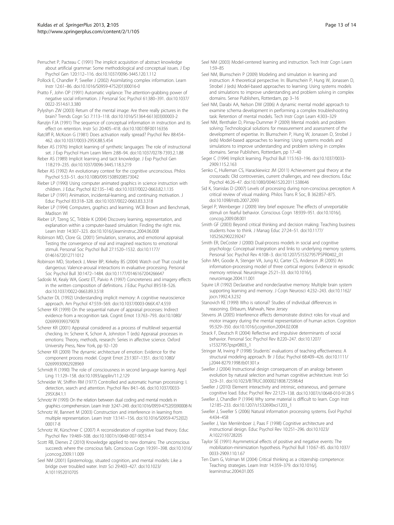<span id="page-12-0"></span>Perruchet P, Pacteau C (1991) The implicit acquisition of abstract knowledge about artificial grammar: Some methodological and conceptual issues. J Exp Psychol Gen 120:112–116. doi[:10.1037/0096-3445.120.1.112](http://dx.doi.org/10.1037/0096-3445.120.1.112)

Pollock E, Chandler P, Sweller J (2002) Assimilating complex information. Learn Instr 12:61–86. doi:[10.1016/S0959-4752\(01\)00016-0](http://dx.doi.org/10.1016/S0959-4752(01)00016-0)

- Pratto F, John OP (1991) Automatic vigilance: The attention-grabbing power of negative social information. J Personal Soc Psychol 61:380–391. doi:[10.1037/](http://dx.doi.org/10.1037/0022-3514.61.3.380) [0022-3514.61.3.380](http://dx.doi.org/10.1037/0022-3514.61.3.380)
- Pylyshyn ZW (2003) Return of the mental image: Are there really pictures in the brain? Trends Cogn Sci 7:113–118. doi:[10.1016/S1364-6613\(03\)00003-2](http://dx.doi.org/10.1016/S1364-6613(03)00003-2)
- Ranzijn FJA (1991) The sequence of conceptual information in instruction and its effect on retention. Instr Sci 20:405–418. doi:[10.1007/BF00116356](http://dx.doi.org/10.1007/BF00116356)
- Ratcliff R, McKoon G (1981) Does activation really spread? Psychol Rev 88:454– 462. doi:[10.1037/0033-295X.88.5.454](http://dx.doi.org/10.1037/0033-295X.88.5.454)
- Reber AS (1976) Implicit learning of synthetic languages: The role of instructional set. J Exp Psychol Hum Learn Mem 2:88–94. doi:[10.1037/0278-7393.2.1.88](http://dx.doi.org/10.1037/0278-7393.2.1.88)
- Reber AS (1989) Implicit learning and tacit knowledge. J Exp Psychol Gen 118:219–235. doi:[10.1037/0096-3445.118.3.219](http://dx.doi.org/10.1037/0096-3445.118.3.219)
- Reber AS (1992) An evolutionary context for the cognitive unconscious. Philos Psychol 5:33–51. doi:[10.1080/09515089208573042](http://dx.doi.org/10.1080/09515089208573042)
- Rieber LP (1990) Using computer animated graphics in science instruction with children. J Educ Psychol 82:135–140. doi:[10.1037/0022-0663.82.1.135](http://dx.doi.org/10.1037/0022-0663.82.1.135)

Rieber LP (1991) Animation, incidental-learning, and continuing motivation. J Educ Psychol 83:318–328. doi[:10.1037/0022-0663.83.3.318](http://dx.doi.org/10.1037/0022-0663.83.3.318)

Rieber LP (1994) Computers, graphics and learning. WCB Brown and Benchmark, Madison WI

Rieber LP, Tzeng SC, Tribble K (2004) Discovery learning, representation, and explanation within a computer-based simulation: Finding the right mix. Learn Instr 14:307–323. doi[:10.1016/j.learninstruc.2004.06.008](http://dx.doi.org/10.1016/j.learninstruc.2004.06.008)

Robinson MD, Clore GL (2001) Simulation, scenarios, and emotional appraisal: Testing the convergence of real and imagined reactions to emotional stimuli. Personal Soc Psychol Bull 27:1520–1532. doi:[10.1177/](http://dx.doi.org/10.1177/01461672012711012) [01461672012711012](http://dx.doi.org/10.1177/01461672012711012)

Robinson MD, Storbeck J, Meier BP, Kirkeby BS (2004) Watch out! That could be dangerous: Valence-arousal interactions in evaluative processing. Personal Soc Psychol Bull 30:1472–1484. doi[:10.1177/0146167204266647](http://dx.doi.org/10.1177/0146167204266647)

Sadoski M, Kealy WA, Goetz ET, Paivio A (1997) Concreteness and imagery effects in the written composition of definitions. J Educ Psychol 89:518–526. doi[:10.1037/0022-0663.89.3.518](http://dx.doi.org/10.1037/0022-0663.89.3.518)

Schacter DL (1992) Understanding implicit memory: A cognitive neuroscience approach. Am Psychol 47:559–569. doi[:10.1037/0003-066X.47.4.559](http://dx.doi.org/10.1037/0003-066X.47.4.559)

Scherer KR (1999) On the sequential nature of appraisal processes: Indirect evidence from a recognition task. Cognit Emot 13:763–793. doi:[10.1080/](http://dx.doi.org/10.1080/026999399379078) [026999399379078](http://dx.doi.org/10.1080/026999399379078)

Scherer KR (2001) Appraisal considered as a process of multilevel sequential checking. In: Scherer K, Schorr A, Johnston T (eds) Appraisal processes in emotions: Theory, methods, research: Series in affective science. Oxford University Press, New York, pp 92–120

Scherer KR (2009) The dynamic architecture of emotion: Evidence for the component process model. Cognit Emot 23:1307–1351. doi[:10.1080/](http://dx.doi.org/10.1080/02699930902928969) [02699930902928969](http://dx.doi.org/10.1080/02699930902928969)

Schmidt R (1990) The role of consciousness in second language learning. Appl Ling 11:129–158. doi:[10.1093/applin/11.2.129](http://dx.doi.org/10.1093/applin/11.2.129)

Schneider W, Shiffrin RM (1977) Controlled and automatic human processing: I. detection, search and attention. Psychol Rev 84:1–66. doi:[10.1037/0033-](http://dx.doi.org/10.1037/0033-295X.84.1.1) [295X.84.1.1](http://dx.doi.org/10.1037/0033-295X.84.1.1)

Schnotz W (1993) On the relation between dual coding and mental models in graphics comprehension. Learn Instr 3:247–249. doi[:10.1016/0959-4752\(93\)90008-N](http://dx.doi.org/10.1016/0959-4752(93)90008-N)

Schnotz W, Bannert M (2003) Construction and interference in learning from multiple representation. Learn Instr 13:141–156. doi[:10.1016/S0959-4752\(02\)](http://dx.doi.org/10.1016/S0959-4752(02)00017-8) [00017-8](http://dx.doi.org/10.1016/S0959-4752(02)00017-8)

Schnotz W, Kürschner C (2007) A reconsideration of cognitive load theory. Educ Psychol Rev 19:469–508. doi[:10.1007/s10648-007-9053-4](http://dx.doi.org/10.1007/s10648-007-9053-4)

Scott RB, Dienes Z (2010) Knowledge applied to new domains: The unconscious succeeds where the conscious fails. Conscious Cogn 19:391–398. doi[:10.1016/](http://dx.doi.org/10.1016/j.concog.2009.11.009) [j.concog.2009.11.009](http://dx.doi.org/10.1016/j.concog.2009.11.009)

Seel NM (2001) Epistemology, situated cognition, and mental models: Like a bridge over troubled water. Instr Sci 29:403–427. doi:[10.1023/](http://dx.doi.org/10.1023/A:1011952010705) [A:1011952010705](http://dx.doi.org/10.1023/A:1011952010705)

- Seel NM (2003) Model-centered learning and instruction. Tech Instr Cogn Learn 1:59–85
- Seel NM, Blumschein P (2009) Modeling and simulation in learning and instruction: A theoretical perspective. In: Blumschein P, Hung W, Jonassen D, Strobel J (eds) Model-based approaches to learning: Using systems models and simulations to improve understanding and problem solving in complex domains. Sense Publishers, Rotterdam, pp 3–16

Seel NM, Darabi AA, Nelson DW (2006) A dynamic mental model approach to examine schema development in performing a complex troubleshooting task: Retention of mental models. Tech Instr Cogn Learn 4:303–329

Seel NM, Ifenthaler D, Pirnay-Dummer P (2009) Mental models and problem solving: Technological solutions for measurement and assessment of the development of expertise. In: Blumschein P, Hung W, Jonassen D, Strobel J (eds) Model-based approaches to learning: Using systems models and simulations to improve understanding and problem solving in complex domains. Sense Publishers, Rotterdam, pp 17–40

- Seger C (1994) Implicit learning. Psychol Bull 115:163–196. doi:[10.1037/0033-](http://dx.doi.org/10.1037/0033-2909.115.2.163) [2909.115.2.163](http://dx.doi.org/10.1037/0033-2909.115.2.163)
- Senko C, Hulleman CS, Harackiewicz JM (2011) Achievement goal theory at the crossroads: Old controversies, current challenges, and new directions. Educ Psychol 46:26–47. doi[:10.1080/00461520.2011.538646](http://dx.doi.org/10.1080/00461520.2011.538646)
- Sid K, Stanislas D (2007) Levels of processing during non-conscious perception: A critical review of visual masking. Philos Trans R Soc, B 362:857–875. doi[:10.1098/rstb.2007.2093](http://dx.doi.org/10.1098/rstb.2007.2093)

Siegel P, Weinberger J (2009) Very brief exposure: The effects of unreportable stimuli on fearful behavior. Conscious Cogn 18:939–951. doi[:10.1016/j.](http://dx.doi.org/10.1016/j.concog.2009.08.001) [concog.2009.08.001](http://dx.doi.org/10.1016/j.concog.2009.08.001)

Smith GF (2003) Beyond critical thinking and decision making: Teaching business students how to think. J Manag Educ 27:24–51. doi:[10.1177/](http://dx.doi.org/10.1177/1052562902239247) [1052562902239247](http://dx.doi.org/10.1177/1052562902239247)

Smith ER, DeCoster J (2000) Dual-process models in social and cognitive psychology: Conceptual integration and links to underlying memory systems. Personal Soc Psychol Rev 4:108–3. doi[:10.1207/S15327957PSPR0402\\_01](http://dx.doi.org/10.1207/S15327957PSPR0402_01)

Sohn MH, Goode A, Stenger VA, Jung KJ, Carter CS, Anderson JR (2005) An information-processing model of three cortical regions: Evidence in episodic memory retrieval. NeuroImage 25:21-33. doi:[10.1016/j.](http://dx.doi.org/10.1016/j.neuroimage.2004.11.001) [neuroimage.2004.11.001](http://dx.doi.org/10.1016/j.neuroimage.2004.11.001)

- Squire LR (1992) Declarative and nondeclarative memory: Multiple brain system supporting learning and memory. J Cogn Neurosci 4:232–243. doi:[10.1162/](http://dx.doi.org/10.1162/jocn.1992.4.3.232) [jocn.1992.4.3.232](http://dx.doi.org/10.1162/jocn.1992.4.3.232)
- Stanovich KE (1999) Who is rational? Studies of individual differences in reasoning. Elrbaum, Mahwah, New Jersey
- Stevens JA (2005) Interference effects demonstrate distinct roles for visual and motor imagery during the mental representation of human action. Cognition 95:329–350. doi[:10.1016/j.cognition.2004.02.008](http://dx.doi.org/10.1016/j.cognition.2004.02.008)

Strack F, Deutsch R (2004) Reflective and impulsive determinants of social behavior. Personal Soc Psychol Rev 8:220–247. doi[:10.1207/](http://dx.doi.org/10.1207/s15327957pspr0803_1) [s15327957pspr0803\\_1](http://dx.doi.org/10.1207/s15327957pspr0803_1)

Stringer M, Irwing P (1998) Students' evaluations of teaching effectiveness: A structural modeling approach. Br J Educ Psychol 68:409–426. doi:[10.1111/](http://dx.doi.org/10.1111/j.2044-8279.1998.tb01301.x) [j.2044-8279.1998.tb01301.x](http://dx.doi.org/10.1111/j.2044-8279.1998.tb01301.x)

Sweller J (2004) Instructional design consequences of an analogy between evolution by natural selection and human cognitive architecture. Instr Sci 32:9–31. doi[:10.1023/B:TRUC.0000021808.72598.4d](http://dx.doi.org/10.1023/B:TRUC.0000021808.72598.4d)

Sweller J (2010) Element interactivity and intrinsic, extraneous, and germane cognitive load. Educ Psychol Rev 22:123–138. doi[:10.1007/s10648-010-9128-5](http://dx.doi.org/10.1007/s10648-010-9128-5)

Sweller J, Chandler P (1994) Why some material is difficult to learn. Cogn Instr 12:185–233. doi[:10.1207/s1532690xci1203\\_1](http://dx.doi.org/10.1207/s1532690xci1203_1)

Sweller J, Sweller S (2006) Natural information processing systems. Evol Psychol 4:434–458

Sweller J, Van Merriënboer J, Paas F (1998) Cognitive architecture and instructional design. Educ Psychol Rev 10:251–296. doi:[10.1023/](http://dx.doi.org/10.1023/A:1022193728205) [A:1022193728205](http://dx.doi.org/10.1023/A:1022193728205)

Taylor SE (1991) Asymmetrical effects of positive and negative events: The mobilization-minimization hypothesis. Psychol Bull 110:67–85. doi[:10.1037/](http://dx.doi.org/10.1037/0033-2909.110.1.67) [0033-2909.110.1.67](http://dx.doi.org/10.1037/0033-2909.110.1.67)

Ten Dam G, Volman M (2004) Critical thinking as a citizenship competence: Teaching strategies. Learn Instr 14:359–379. doi:[10.1016/j.](http://dx.doi.org/10.1016/j.learninstruc.2004.01.005) [learninstruc.2004.01.005](http://dx.doi.org/10.1016/j.learninstruc.2004.01.005)